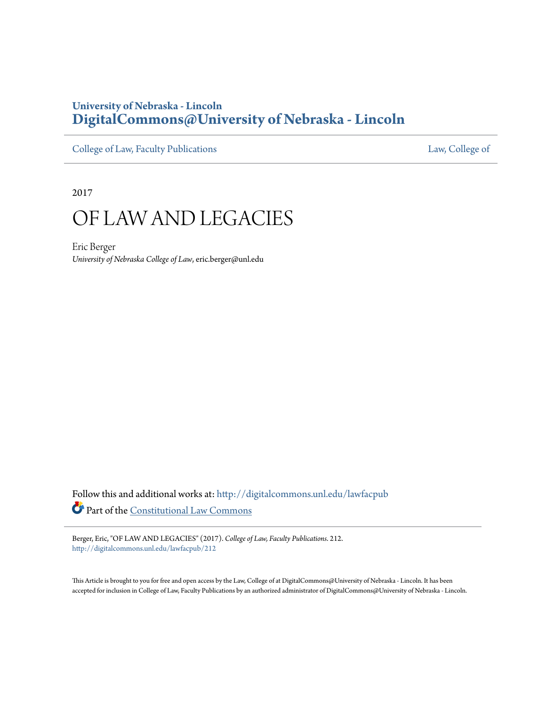# **University of Nebraska - Lincoln [DigitalCommons@University of Nebraska - Lincoln](http://digitalcommons.unl.edu?utm_source=digitalcommons.unl.edu%2Flawfacpub%2F212&utm_medium=PDF&utm_campaign=PDFCoverPages)**

[College of Law, Faculty Publications](http://digitalcommons.unl.edu/lawfacpub?utm_source=digitalcommons.unl.edu%2Flawfacpub%2F212&utm_medium=PDF&utm_campaign=PDFCoverPages) [Law, College of](http://digitalcommons.unl.edu/law?utm_source=digitalcommons.unl.edu%2Flawfacpub%2F212&utm_medium=PDF&utm_campaign=PDFCoverPages) Law, College of

2017

# OF LAW AND LEGACIES

Eric Berger *University of Nebraska College of Law*, eric.berger@unl.edu

Follow this and additional works at: [http://digitalcommons.unl.edu/lawfacpub](http://digitalcommons.unl.edu/lawfacpub?utm_source=digitalcommons.unl.edu%2Flawfacpub%2F212&utm_medium=PDF&utm_campaign=PDFCoverPages) Part of the [Constitutional Law Commons](http://network.bepress.com/hgg/discipline/589?utm_source=digitalcommons.unl.edu%2Flawfacpub%2F212&utm_medium=PDF&utm_campaign=PDFCoverPages)

Berger, Eric, "OF LAW AND LEGACIES" (2017). *College of Law, Faculty Publications*. 212. [http://digitalcommons.unl.edu/lawfacpub/212](http://digitalcommons.unl.edu/lawfacpub/212?utm_source=digitalcommons.unl.edu%2Flawfacpub%2F212&utm_medium=PDF&utm_campaign=PDFCoverPages)

This Article is brought to you for free and open access by the Law, College of at DigitalCommons@University of Nebraska - Lincoln. It has been accepted for inclusion in College of Law, Faculty Publications by an authorized administrator of DigitalCommons@University of Nebraska - Lincoln.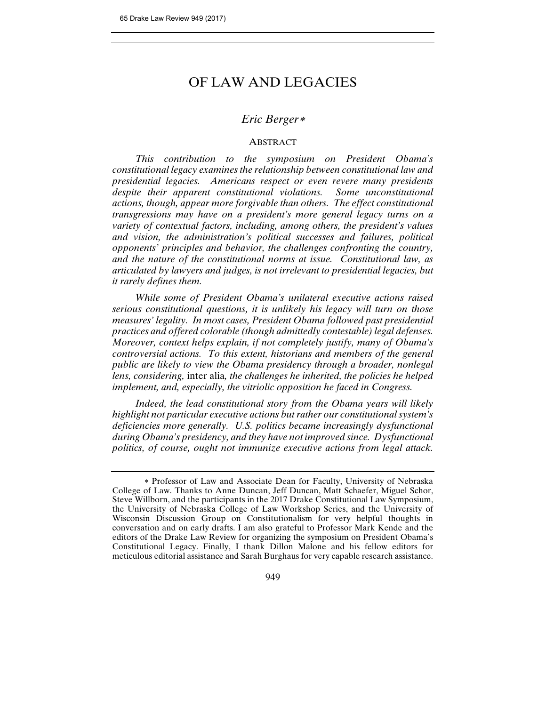# OF LAW AND LEGACIES

# *Eric Berger*

## **ABSTRACT**

*This contribution to the symposium on President Obama's constitutional legacy examines the relationship between constitutional law and presidential legacies. Americans respect or even revere many presidents despite their apparent constitutional violations. Some unconstitutional actions, though, appear more forgivable than others. The effect constitutional transgressions may have on a president's more general legacy turns on a variety of contextual factors, including, among others, the president's values and vision, the administration's political successes and failures, political opponents' principles and behavior, the challenges confronting the country, and the nature of the constitutional norms at issue. Constitutional law, as articulated by lawyers and judges, is not irrelevant to presidential legacies, but it rarely defines them.* 

*While some of President Obama's unilateral executive actions raised serious constitutional questions, it is unlikely his legacy will turn on those measures' legality. In most cases, President Obama followed past presidential practices and offered colorable (though admittedly contestable) legal defenses. Moreover, context helps explain, if not completely justify, many of Obama's controversial actions. To this extent, historians and members of the general public are likely to view the Obama presidency through a broader, nonlegal lens, considering,* inter alia*, the challenges he inherited, the policies he helped implement, and, especially, the vitriolic opposition he faced in Congress.* 

*Indeed, the lead constitutional story from the Obama years will likely highlight not particular executive actions but rather our constitutional system's deficiencies more generally. U.S. politics became increasingly dysfunctional during Obama's presidency, and they have not improved since. Dysfunctional politics, of course, ought not immunize executive actions from legal attack.* 

 Professor of Law and Associate Dean for Faculty, University of Nebraska College of Law. Thanks to Anne Duncan, Jeff Duncan, Matt Schaefer, Miguel Schor, Steve Willborn, and the participants in the 2017 Drake Constitutional Law Symposium, the University of Nebraska College of Law Workshop Series, and the University of Wisconsin Discussion Group on Constitutionalism for very helpful thoughts in conversation and on early drafts. I am also grateful to Professor Mark Kende and the editors of the Drake Law Review for organizing the symposium on President Obama's Constitutional Legacy. Finally, I thank Dillon Malone and his fellow editors for meticulous editorial assistance and Sarah Burghaus for very capable research assistance.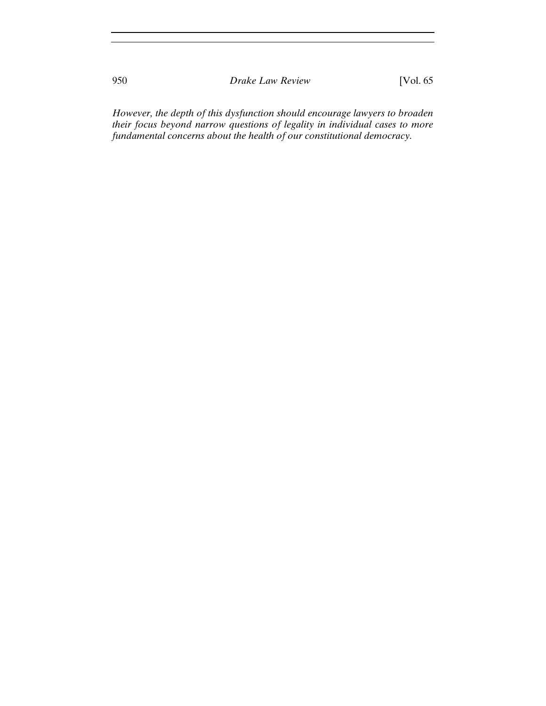950 *Drake Law Review* [Vol. 65

*However, the depth of this dysfunction should encourage lawyers to broaden their focus beyond narrow questions of legality in individual cases to more fundamental concerns about the health of our constitutional democracy.*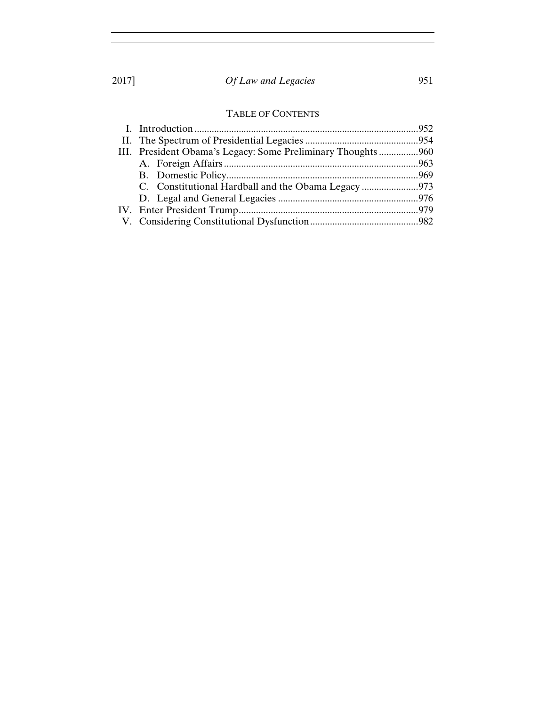# TABLE OF CONTENTS

| III. President Obama's Legacy: Some Preliminary Thoughts960 |  |
|-------------------------------------------------------------|--|
|                                                             |  |
|                                                             |  |
| C. Constitutional Hardball and the Obama Legacy 973         |  |
|                                                             |  |
|                                                             |  |
|                                                             |  |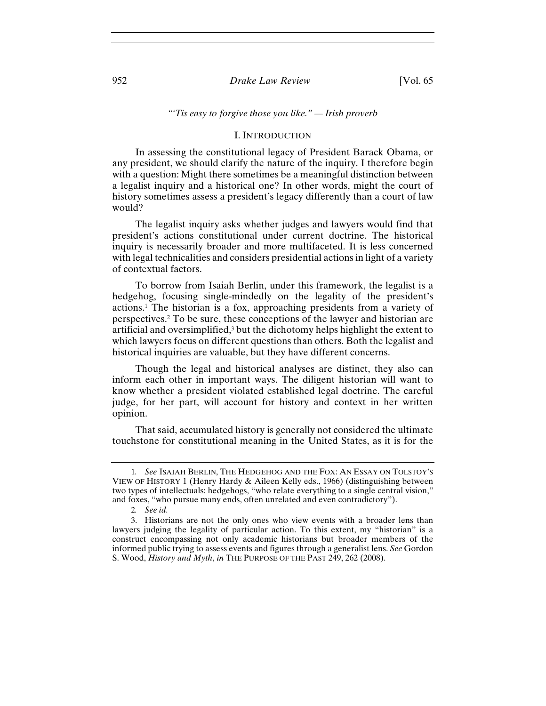#### 952 *Drake Law Review* [Vol. 65

#### *"'Tis easy to forgive those you like." — Irish proverb*

#### I. INTRODUCTION

In assessing the constitutional legacy of President Barack Obama, or any president, we should clarify the nature of the inquiry. I therefore begin with a question: Might there sometimes be a meaningful distinction between a legalist inquiry and a historical one? In other words, might the court of history sometimes assess a president's legacy differently than a court of law would?

The legalist inquiry asks whether judges and lawyers would find that president's actions constitutional under current doctrine. The historical inquiry is necessarily broader and more multifaceted. It is less concerned with legal technicalities and considers presidential actions in light of a variety of contextual factors.

To borrow from Isaiah Berlin, under this framework, the legalist is a hedgehog, focusing single-mindedly on the legality of the president's actions.1 The historian is a fox, approaching presidents from a variety of perspectives.2 To be sure, these conceptions of the lawyer and historian are artificial and oversimplified,<sup>3</sup> but the dichotomy helps highlight the extent to which lawyers focus on different questions than others. Both the legalist and historical inquiries are valuable, but they have different concerns.

Though the legal and historical analyses are distinct, they also can inform each other in important ways. The diligent historian will want to know whether a president violated established legal doctrine. The careful judge, for her part, will account for history and context in her written opinion.

That said, accumulated history is generally not considered the ultimate touchstone for constitutional meaning in the United States, as it is for the

<sup>1</sup>*. See* ISAIAH BERLIN, THE HEDGEHOG AND THE FOX: AN ESSAY ON TOLSTOY'S VIEW OF HISTORY 1 (Henry Hardy & Aileen Kelly eds., 1966) (distinguishing between two types of intellectuals: hedgehogs, "who relate everything to a single central vision," and foxes, "who pursue many ends, often unrelated and even contradictory").

<sup>2</sup>*. See id.*

<sup>3.</sup> Historians are not the only ones who view events with a broader lens than lawyers judging the legality of particular action. To this extent, my "historian" is a construct encompassing not only academic historians but broader members of the informed public trying to assess events and figures through a generalist lens. *See* Gordon S. Wood, *History and Myth*, *in* THE PURPOSE OF THE PAST 249, 262 (2008).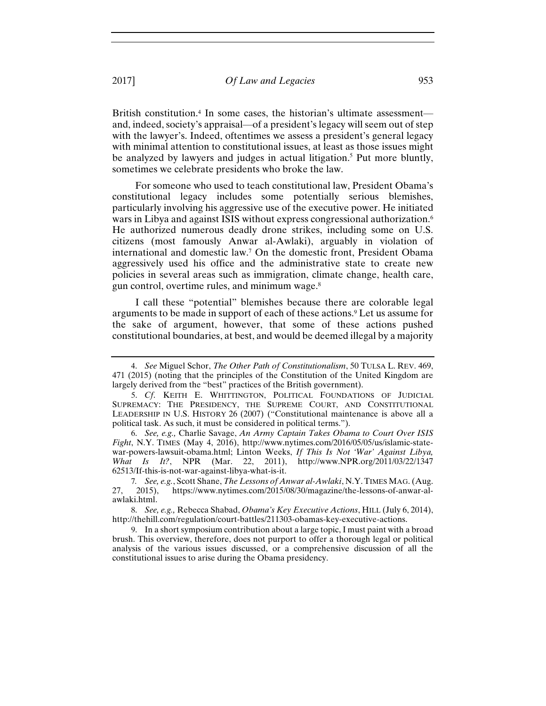British constitution.4 In some cases, the historian's ultimate assessment and, indeed, society's appraisal—of a president's legacy will seem out of step with the lawyer's. Indeed, oftentimes we assess a president's general legacy with minimal attention to constitutional issues, at least as those issues might be analyzed by lawyers and judges in actual litigation.<sup>5</sup> Put more bluntly, sometimes we celebrate presidents who broke the law.

For someone who used to teach constitutional law, President Obama's constitutional legacy includes some potentially serious blemishes, particularly involving his aggressive use of the executive power. He initiated wars in Libya and against ISIS without express congressional authorization.<sup>6</sup> He authorized numerous deadly drone strikes, including some on U.S. citizens (most famously Anwar al-Awlaki), arguably in violation of international and domestic law.7 On the domestic front, President Obama aggressively used his office and the administrative state to create new policies in several areas such as immigration, climate change, health care, gun control, overtime rules, and minimum wage.8

I call these "potential" blemishes because there are colorable legal arguments to be made in support of each of these actions.9 Let us assume for the sake of argument, however, that some of these actions pushed constitutional boundaries, at best, and would be deemed illegal by a majority

<sup>4.</sup> *See* Miguel Schor, *The Other Path of Constitutionalism*, 50 TULSA L. REV. 469, 471 (2015) (noting that the principles of the Constitution of the United Kingdom are largely derived from the "best" practices of the British government).

<sup>5.</sup> *Cf*. KEITH E. WHITTINGTON, POLITICAL FOUNDATIONS OF JUDICIAL SUPREMACY: THE PRESIDENCY, THE SUPREME COURT, AND CONSTITUTIONAL LEADERSHIP IN U.S. HISTORY 26 (2007) ("Constitutional maintenance is above all a political task. As such, it must be considered in political terms.").

<sup>6.</sup> *See, e.g.,* Charlie Savage, *An Army Captain Takes Obama to Court Over ISIS Fight*, N.Y. TIMES (May 4, 2016), http://www.nytimes.com/2016/05/05/us/islamic-statewar-powers-lawsuit-obama.html; Linton Weeks, *If This Is Not 'War' Against Libya, What Is It?*, NPR (Mar. 22, 2011), http://www.NPR.org/2011/03/22/1347 62513/If-this-is-not-war-against-libya-what-is-it.

<sup>7</sup>*. See, e.g.*, Scott Shane, *The Lessons of Anwar al-Awlaki*, N.Y.TIMES MAG. (Aug. 27, 2015), https://www.nytimes.com/2015/08/30/magazine/the-lessons-of-anwar-alawlaki.html.

<sup>8.</sup> *See, e.g.,* Rebecca Shabad, *Obama's Key Executive Actions*, HILL (July 6, 2014), http://thehill.com/regulation/court-battles/211303-obamas-key-executive-actions.

<sup>9.</sup> In a short symposium contribution about a large topic, I must paint with a broad brush. This overview, therefore, does not purport to offer a thorough legal or political analysis of the various issues discussed, or a comprehensive discussion of all the constitutional issues to arise during the Obama presidency.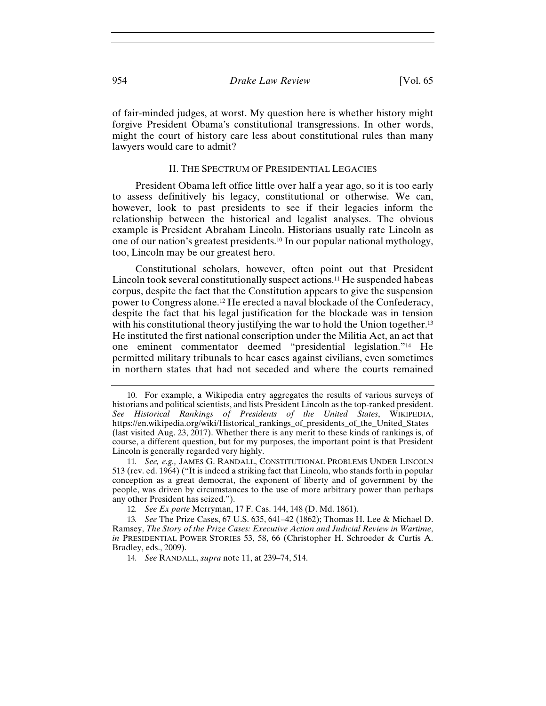of fair-minded judges, at worst. My question here is whether history might forgive President Obama's constitutional transgressions. In other words, might the court of history care less about constitutional rules than many lawyers would care to admit?

#### II. THE SPECTRUM OF PRESIDENTIAL LEGACIES

President Obama left office little over half a year ago, so it is too early to assess definitively his legacy, constitutional or otherwise. We can, however, look to past presidents to see if their legacies inform the relationship between the historical and legalist analyses. The obvious example is President Abraham Lincoln. Historians usually rate Lincoln as one of our nation's greatest presidents.10 In our popular national mythology, too, Lincoln may be our greatest hero.

Constitutional scholars, however, often point out that President Lincoln took several constitutionally suspect actions.11 He suspended habeas corpus, despite the fact that the Constitution appears to give the suspension power to Congress alone.12 He erected a naval blockade of the Confederacy, despite the fact that his legal justification for the blockade was in tension with his constitutional theory justifying the war to hold the Union together.<sup>13</sup> He instituted the first national conscription under the Militia Act, an act that one eminent commentator deemed "presidential legislation."14 He permitted military tribunals to hear cases against civilians, even sometimes in northern states that had not seceded and where the courts remained

<sup>10.</sup> For example, a Wikipedia entry aggregates the results of various surveys of historians and political scientists, and lists President Lincoln as the top-ranked president. *See Historical Rankings of Presidents of the United States*, WIKIPEDIA, https://en.wikipedia.org/wiki/Historical\_rankings\_of\_presidents\_of\_the\_United\_States (last visited Aug. 23, 2017). Whether there is any merit to these kinds of rankings is, of course, a different question, but for my purposes, the important point is that President Lincoln is generally regarded very highly.

<sup>11</sup>*. See, e.g.,* JAMES G. RANDALL, CONSTITUTIONAL PROBLEMS UNDER LINCOLN 513 (rev. ed. 1964) ("It is indeed a striking fact that Lincoln, who stands forth in popular conception as a great democrat, the exponent of liberty and of government by the people, was driven by circumstances to the use of more arbitrary power than perhaps any other President has seized.").

<sup>12</sup>*. See Ex parte* Merryman, 17 F. Cas. 144, 148 (D. Md. 1861).

<sup>13</sup>*. See* The Prize Cases, 67 U.S. 635, 641–42 (1862); Thomas H. Lee & Michael D. Ramsey, *The Story of the Prize Cases: Executive Action and Judicial Review in Wartime*, *in* PRESIDENTIAL POWER STORIES 53, 58, 66 (Christopher H. Schroeder & Curtis A. Bradley, eds., 2009).

<sup>14</sup>*. See* RANDALL, *supra* note 11, at 239–74, 514.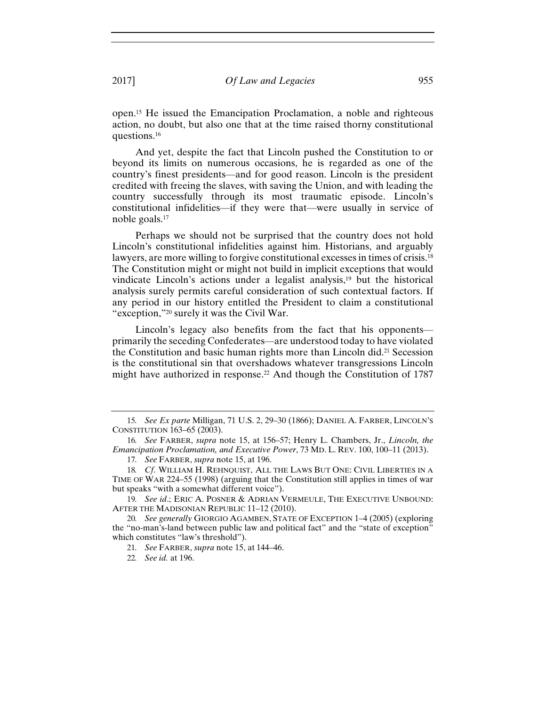open.15 He issued the Emancipation Proclamation, a noble and righteous action, no doubt, but also one that at the time raised thorny constitutional questions.16

And yet, despite the fact that Lincoln pushed the Constitution to or beyond its limits on numerous occasions, he is regarded as one of the country's finest presidents—and for good reason. Lincoln is the president credited with freeing the slaves, with saving the Union, and with leading the country successfully through its most traumatic episode. Lincoln's constitutional infidelities—if they were that—were usually in service of noble goals.17

Perhaps we should not be surprised that the country does not hold Lincoln's constitutional infidelities against him. Historians, and arguably lawyers, are more willing to forgive constitutional excesses in times of crisis.18 The Constitution might or might not build in implicit exceptions that would vindicate Lincoln's actions under a legalist analysis,19 but the historical analysis surely permits careful consideration of such contextual factors. If any period in our history entitled the President to claim a constitutional "exception,"20 surely it was the Civil War.

Lincoln's legacy also benefits from the fact that his opponents primarily the seceding Confederates—are understood today to have violated the Constitution and basic human rights more than Lincoln did.21 Secession is the constitutional sin that overshadows whatever transgressions Lincoln might have authorized in response.22 And though the Constitution of 1787

<sup>15</sup>*. See Ex parte* Milligan, 71 U.S. 2, 29–30 (1866); DANIEL A. FARBER, LINCOLN'S CONSTITUTION 163–65 (2003).

<sup>16</sup>*. See* FARBER, *supra* note 15, at 156–57; Henry L. Chambers, Jr., *Lincoln, the Emancipation Proclamation, and Executive Power*, 73 MD. L. REV. 100, 100–11 (2013).

<sup>17</sup>*. See* FARBER, *supra* note 15, at 196.

<sup>18</sup>*. Cf*. WILLIAM H. REHNQUIST, ALL THE LAWS BUT ONE: CIVIL LIBERTIES IN A TIME OF WAR 224–55 (1998) (arguing that the Constitution still applies in times of war but speaks "with a somewhat different voice").

<sup>19</sup>*. See id*.; ERIC A. POSNER & ADRIAN VERMEULE, THE EXECUTIVE UNBOUND: AFTER THE MADISONIAN REPUBLIC 11–12 (2010).

<sup>20</sup>*. See generally* GIORGIO AGAMBEN, STATE OF EXCEPTION 1–4 (2005) (exploring the "no-man's-land between public law and political fact" and the "state of exception" which constitutes "law's threshold").

<sup>21</sup>*. See* FARBER, *supra* note 15, at 144–46.

<sup>22</sup>*. See id.* at 196.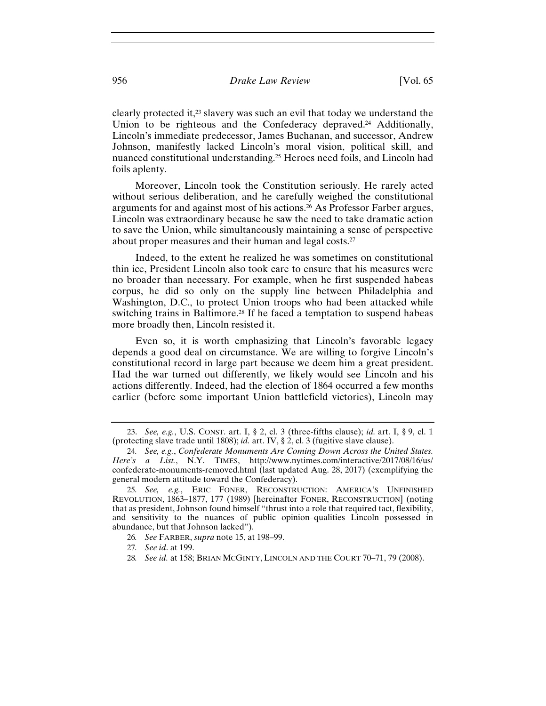clearly protected it,23 slavery was such an evil that today we understand the Union to be righteous and the Confederacy deprayed.<sup>24</sup> Additionally, Lincoln's immediate predecessor, James Buchanan, and successor, Andrew Johnson, manifestly lacked Lincoln's moral vision, political skill, and nuanced constitutional understanding.25 Heroes need foils, and Lincoln had foils aplenty.

Moreover, Lincoln took the Constitution seriously. He rarely acted without serious deliberation, and he carefully weighed the constitutional arguments for and against most of his actions.26 As Professor Farber argues, Lincoln was extraordinary because he saw the need to take dramatic action to save the Union, while simultaneously maintaining a sense of perspective about proper measures and their human and legal costs.27

Indeed, to the extent he realized he was sometimes on constitutional thin ice, President Lincoln also took care to ensure that his measures were no broader than necessary. For example, when he first suspended habeas corpus, he did so only on the supply line between Philadelphia and Washington, D.C., to protect Union troops who had been attacked while switching trains in Baltimore.<sup>28</sup> If he faced a temptation to suspend habeas more broadly then, Lincoln resisted it.

Even so, it is worth emphasizing that Lincoln's favorable legacy depends a good deal on circumstance. We are willing to forgive Lincoln's constitutional record in large part because we deem him a great president. Had the war turned out differently, we likely would see Lincoln and his actions differently. Indeed, had the election of 1864 occurred a few months earlier (before some important Union battlefield victories), Lincoln may

28*. See id.* at 158; BRIAN MCGINTY, LINCOLN AND THE COURT 70–71, 79 (2008).

<sup>23.</sup> *See, e.g.*, U.S. CONST. art. I, § 2, cl. 3 (three-fifths clause); *id.* art. I, § 9, cl. 1 (protecting slave trade until 1808); *id.* art. IV, § 2, cl. 3 (fugitive slave clause).

<sup>24</sup>*. See, e.g.*, *Confederate Monuments Are Coming Down Across the United States. Here's a List.*, N.Y. TIMES, http://www.nytimes.com/interactive/2017/08/16/us/ confederate-monuments-removed.html (last updated Aug. 28, 2017) (exemplifying the general modern attitude toward the Confederacy).

<sup>25</sup>*. See, e.g.*, ERIC FONER, RECONSTRUCTION: AMERICA'S UNFINISHED REVOLUTION, 1863–1877, 177 (1989) [hereinafter FONER, RECONSTRUCTION] (noting that as president, Johnson found himself "thrust into a role that required tact, flexibility, and sensitivity to the nuances of public opinion–qualities Lincoln possessed in abundance, but that Johnson lacked").

<sup>26</sup>*. See* FARBER, *supra* note 15, at 198–99.

<sup>27</sup>*. See id*. at 199.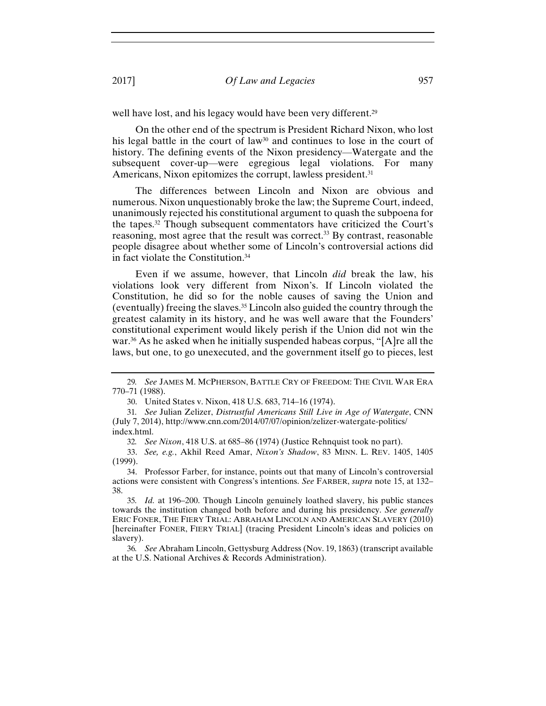well have lost, and his legacy would have been very different.<sup>29</sup>

On the other end of the spectrum is President Richard Nixon, who lost his legal battle in the court of law<sup>30</sup> and continues to lose in the court of history. The defining events of the Nixon presidency—Watergate and the subsequent cover-up—were egregious legal violations. For many Americans, Nixon epitomizes the corrupt, lawless president.<sup>31</sup>

The differences between Lincoln and Nixon are obvious and numerous. Nixon unquestionably broke the law; the Supreme Court, indeed, unanimously rejected his constitutional argument to quash the subpoena for the tapes.32 Though subsequent commentators have criticized the Court's reasoning, most agree that the result was correct.<sup>33</sup> By contrast, reasonable people disagree about whether some of Lincoln's controversial actions did in fact violate the Constitution.34

Even if we assume, however, that Lincoln *did* break the law, his violations look very different from Nixon's. If Lincoln violated the Constitution, he did so for the noble causes of saving the Union and (eventually) freeing the slaves.35 Lincoln also guided the country through the greatest calamity in its history, and he was well aware that the Founders' constitutional experiment would likely perish if the Union did not win the war.36 As he asked when he initially suspended habeas corpus, "[A]re all the laws, but one, to go unexecuted, and the government itself go to pieces, lest

<sup>29</sup>*. See* JAMES M. MCPHERSON, BATTLE CRY OF FREEDOM: THE CIVIL WAR ERA 770–71 (1988).

<sup>30.</sup> United States v. Nixon, 418 U.S. 683, 714–16 (1974).

<sup>31</sup>*. See* Julian Zelizer, *Distrustful Americans Still Live in Age of Watergate*, CNN (July 7, 2014), http://www.cnn.com/2014/07/07/opinion/zelizer-watergate-politics/ index.html.

<sup>32</sup>*. See Nixon*, 418 U.S. at 685–86 (1974) (Justice Rehnquist took no part).

<sup>33.</sup> *See, e.g.*, Akhil Reed Amar, *Nixon's Shadow*, 83 MINN. L. REV. 1405, 1405 (1999).

<sup>34.</sup> Professor Farber, for instance, points out that many of Lincoln's controversial actions were consistent with Congress's intentions. *See* FARBER, *supra* note 15, at 132– 38.

<sup>35</sup>*. Id.* at 196–200. Though Lincoln genuinely loathed slavery, his public stances towards the institution changed both before and during his presidency. *See generally* ERIC FONER, THE FIERY TRIAL: ABRAHAM LINCOLN AND AMERICAN SLAVERY (2010) [hereinafter FONER, FIERY TRIAL] (tracing President Lincoln's ideas and policies on slavery).

<sup>36</sup>*. See* Abraham Lincoln, Gettysburg Address (Nov. 19, 1863) (transcript available at the U.S. National Archives & Records Administration).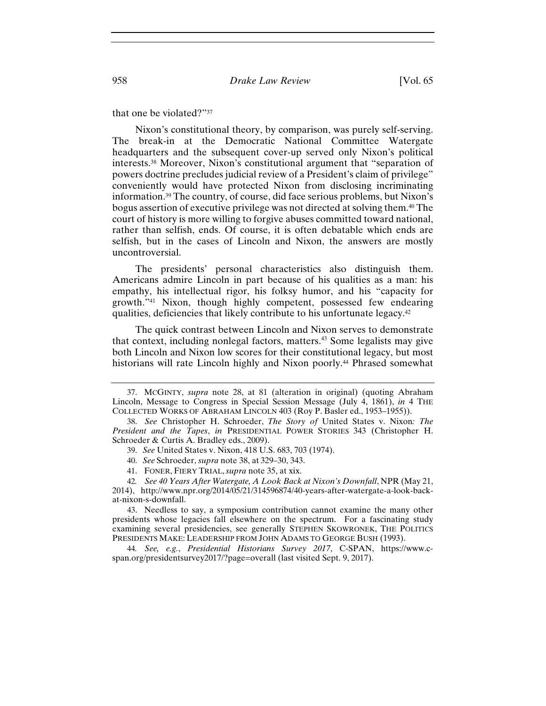#### that one be violated?"37

Nixon's constitutional theory, by comparison, was purely self-serving. The break-in at the Democratic National Committee Watergate headquarters and the subsequent cover-up served only Nixon's political interests.38 Moreover, Nixon's constitutional argument that "separation of powers doctrine precludes judicial review of a President's claim of privilege" conveniently would have protected Nixon from disclosing incriminating information.39 The country, of course, did face serious problems, but Nixon's bogus assertion of executive privilege was not directed at solving them.40 The court of history is more willing to forgive abuses committed toward national, rather than selfish, ends. Of course, it is often debatable which ends are selfish, but in the cases of Lincoln and Nixon, the answers are mostly uncontroversial.

The presidents' personal characteristics also distinguish them. Americans admire Lincoln in part because of his qualities as a man: his empathy, his intellectual rigor, his folksy humor, and his "capacity for growth."41 Nixon, though highly competent, possessed few endearing qualities, deficiencies that likely contribute to his unfortunate legacy.42

The quick contrast between Lincoln and Nixon serves to demonstrate that context, including nonlegal factors, matters.<sup>43</sup> Some legalists may give both Lincoln and Nixon low scores for their constitutional legacy, but most historians will rate Lincoln highly and Nixon poorly.<sup>44</sup> Phrased somewhat

<sup>37.</sup> MCGINTY, *supra* note 28, at 81 (alteration in original) (quoting Abraham Lincoln, Message to Congress in Special Session Message (July 4, 1861), *in* 4 THE COLLECTED WORKS OF ABRAHAM LINCOLN 403 (Roy P. Basler ed., 1953–1955)).

<sup>38.</sup> *See* Christopher H. Schroeder, *The Story of* United States v. Nixon*: The President and the Tapes*, *in* PRESIDENTIAL POWER STORIES 343 (Christopher H. Schroeder & Curtis A. Bradley eds., 2009).

<sup>39.</sup> *See* United States v. Nixon, 418 U.S. 683, 703 (1974).

<sup>40.</sup> *See* Schroeder, *supra* note 38, at 329–30, 343.

<sup>41.</sup> FONER, FIERY TRIAL, *supra* note 35, at xix.

<sup>42</sup>*. See 40 Years After Watergate, A Look Back at Nixon's Downfall*, NPR (May 21,

<sup>2014),</sup> http://www.npr.org/2014/05/21/314596874/40-years-after-watergate-a-look-backat-nixon-s-downfall.

<sup>43.</sup> Needless to say, a symposium contribution cannot examine the many other presidents whose legacies fall elsewhere on the spectrum. For a fascinating study examining several presidencies, see generally STEPHEN SKOWRONEK, THE POLITICS PRESIDENTS MAKE: LEADERSHIP FROM JOHN ADAMS TO GEORGE BUSH (1993).

<sup>44</sup>*. See, e.g.*, *Presidential Historians Survey 2017*, C-SPAN, https://www.cspan.org/presidentsurvey2017/?page=overall (last visited Sept. 9, 2017).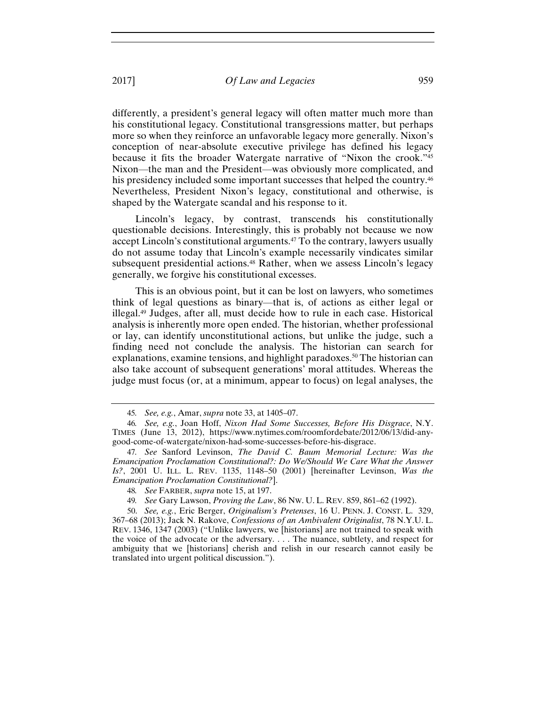differently, a president's general legacy will often matter much more than his constitutional legacy. Constitutional transgressions matter, but perhaps more so when they reinforce an unfavorable legacy more generally. Nixon's conception of near-absolute executive privilege has defined his legacy because it fits the broader Watergate narrative of "Nixon the crook."45 Nixon—the man and the President—was obviously more complicated, and his presidency included some important successes that helped the country.<sup>46</sup> Nevertheless, President Nixon's legacy, constitutional and otherwise, is shaped by the Watergate scandal and his response to it.

Lincoln's legacy, by contrast, transcends his constitutionally questionable decisions. Interestingly, this is probably not because we now accept Lincoln's constitutional arguments.47 To the contrary, lawyers usually do not assume today that Lincoln's example necessarily vindicates similar subsequent presidential actions.<sup>48</sup> Rather, when we assess Lincoln's legacy generally, we forgive his constitutional excesses.

This is an obvious point, but it can be lost on lawyers, who sometimes think of legal questions as binary—that is, of actions as either legal or illegal.49 Judges, after all, must decide how to rule in each case. Historical analysis is inherently more open ended. The historian, whether professional or lay, can identify unconstitutional actions, but unlike the judge, such a finding need not conclude the analysis. The historian can search for explanations, examine tensions, and highlight paradoxes.<sup>50</sup> The historian can also take account of subsequent generations' moral attitudes. Whereas the judge must focus (or, at a minimum, appear to focus) on legal analyses, the

<sup>45</sup>*. See, e.g.*, Amar, *supra* note 33, at 1405–07.

<sup>46</sup>*. See, e.g.*, Joan Hoff, *Nixon Had Some Successes, Before His Disgrace*, N.Y. TIMES (June 13, 2012), https://www.nytimes.com/roomfordebate/2012/06/13/did-anygood-come-of-watergate/nixon-had-some-successes-before-his-disgrace.

<sup>47</sup>*. See* Sanford Levinson, *The David C. Baum Memorial Lecture: Was the Emancipation Proclamation Constitutional?: Do We/Should We Care What the Answer Is?*, 2001 U. ILL. L. REV. 1135, 1148–50 (2001) [hereinafter Levinson, *Was the Emancipation Proclamation Constitutional?*].

<sup>48</sup>*. See* FARBER, *supra* note 15, at 197.

<sup>49</sup>*. See* Gary Lawson, *Proving the Law*, 86 NW. U. L. REV. 859, 861–62 (1992).

<sup>50.</sup> *See, e.g.*, Eric Berger, *Originalism's Pretenses*, 16 U. PENN. J. CONST. L. 329, 367–68 (2013); Jack N. Rakove, *Confessions of an Ambivalent Originalist*, 78 N.Y.U. L. REV. 1346, 1347 (2003) ("Unlike lawyers, we [historians] are not trained to speak with the voice of the advocate or the adversary. . . . The nuance, subtlety, and respect for ambiguity that we [historians] cherish and relish in our research cannot easily be translated into urgent political discussion.").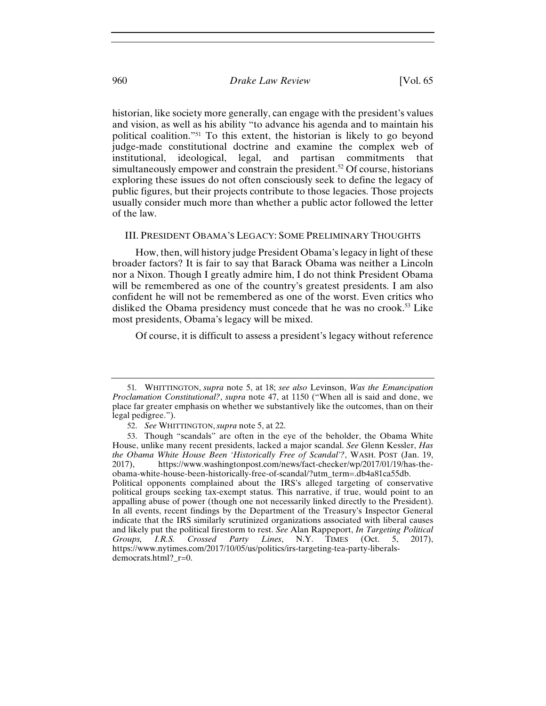historian, like society more generally, can engage with the president's values and vision, as well as his ability "to advance his agenda and to maintain his political coalition."51 To this extent, the historian is likely to go beyond judge-made constitutional doctrine and examine the complex web of institutional, ideological, legal, and partisan commitments that simultaneously empower and constrain the president.<sup>52</sup> Of course, historians exploring these issues do not often consciously seek to define the legacy of public figures, but their projects contribute to those legacies. Those projects usually consider much more than whether a public actor followed the letter of the law.

#### III. PRESIDENT OBAMA'S LEGACY: SOME PRELIMINARY THOUGHTS

How, then, will history judge President Obama's legacy in light of these broader factors? It is fair to say that Barack Obama was neither a Lincoln nor a Nixon. Though I greatly admire him, I do not think President Obama will be remembered as one of the country's greatest presidents. I am also confident he will not be remembered as one of the worst. Even critics who disliked the Obama presidency must concede that he was no crook.<sup>53</sup> Like most presidents, Obama's legacy will be mixed.

Of course, it is difficult to assess a president's legacy without reference

<sup>51</sup>*.* WHITTINGTON, *supra* note 5, at 18; *see also* Levinson, *Was the Emancipation Proclamation Constitutional?*, *supra* note 47, at 1150 ("When all is said and done, we place far greater emphasis on whether we substantively like the outcomes, than on their legal pedigree.").

<sup>52.</sup> *See* WHITTINGTON, *supra* note 5, at 22.

<sup>53.</sup> Though "scandals" are often in the eye of the beholder, the Obama White House, unlike many recent presidents, lacked a major scandal. *See* Glenn Kessler, *Has the Obama White House Been 'Historically Free of Scandal'?*, WASH. POST (Jan. 19, 2017), https://www.washingtonpost.com/news/fact-checker/wp/2017/01/19/has-theobama-white-house-been-historically-free-of-scandal/?utm\_term=.db4a81ca55db. Political opponents complained about the IRS's alleged targeting of conservative political groups seeking tax-exempt status. This narrative, if true, would point to an appalling abuse of power (though one not necessarily linked directly to the President). In all events, recent findings by the Department of the Treasury's Inspector General indicate that the IRS similarly scrutinized organizations associated with liberal causes and likely put the political firestorm to rest. *See* Alan Rappeport, *In Targeting Political Groups, I.R.S. Crossed Party Lines*, N.Y. TIMES (Oct. 5, 2017), https://www.nytimes.com/2017/10/05/us/politics/irs-targeting-tea-party-liberalsdemocrats.html?\_r=0.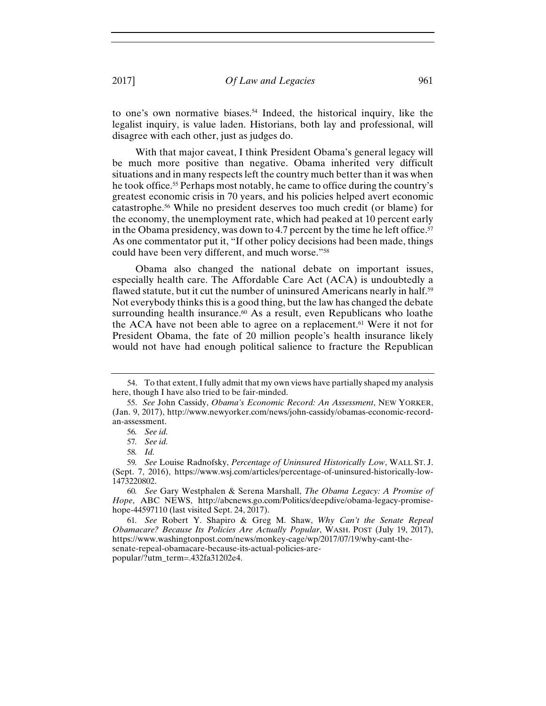to one's own normative biases.<sup>54</sup> Indeed, the historical inquiry, like the legalist inquiry, is value laden. Historians, both lay and professional, will disagree with each other, just as judges do.

With that major caveat, I think President Obama's general legacy will be much more positive than negative. Obama inherited very difficult situations and in many respects left the country much better than it was when he took office.55 Perhaps most notably, he came to office during the country's greatest economic crisis in 70 years, and his policies helped avert economic catastrophe.56 While no president deserves too much credit (or blame) for the economy, the unemployment rate, which had peaked at 10 percent early in the Obama presidency, was down to 4.7 percent by the time he left office.<sup>57</sup> As one commentator put it, "If other policy decisions had been made, things could have been very different, and much worse."58

Obama also changed the national debate on important issues, especially health care. The Affordable Care Act (ACA) is undoubtedly a flawed statute, but it cut the number of uninsured Americans nearly in half.59 Not everybody thinks this is a good thing, but the law has changed the debate surrounding health insurance.<sup>60</sup> As a result, even Republicans who loathe the ACA have not been able to agree on a replacement.<sup>61</sup> Were it not for President Obama, the fate of 20 million people's health insurance likely would not have had enough political salience to fracture the Republican

<sup>54.</sup> To that extent, I fully admit that my own views have partially shaped my analysis here, though I have also tried to be fair-minded.

<sup>55.</sup> *See* John Cassidy, *Obama's Economic Record: An Assessment*, NEW YORKER, (Jan. 9, 2017), http://www.newyorker.com/news/john-cassidy/obamas-economic-recordan-assessment.

<sup>56</sup>*. See id.*

<sup>57</sup>*. See id.*

<sup>58</sup>*. Id.*

<sup>59</sup>*. See* Louise Radnofsky, *Percentage of Uninsured Historically Low*, WALL ST. J. (Sept. 7, 2016), https://www.wsj.com/articles/percentage-of-uninsured-historically-low-1473220802.

<sup>60</sup>*. See* Gary Westphalen & Serena Marshall, *The Obama Legacy: A Promise of Hope*, ABC NEWS, http://abcnews.go.com/Politics/deepdive/obama-legacy-promisehope-44597110 (last visited Sept. 24, 2017).

<sup>61</sup>*. See* Robert Y. Shapiro & Greg M. Shaw, *Why Can't the Senate Repeal Obamacare? Because Its Policies Are Actually Popular*, WASH. POST (July 19, 2017), https://www.washingtonpost.com/news/monkey-cage/wp/2017/07/19/why-cant-thesenate-repeal-obamacare-because-its-actual-policies-arepopular/?utm\_term=.432fa31202e4.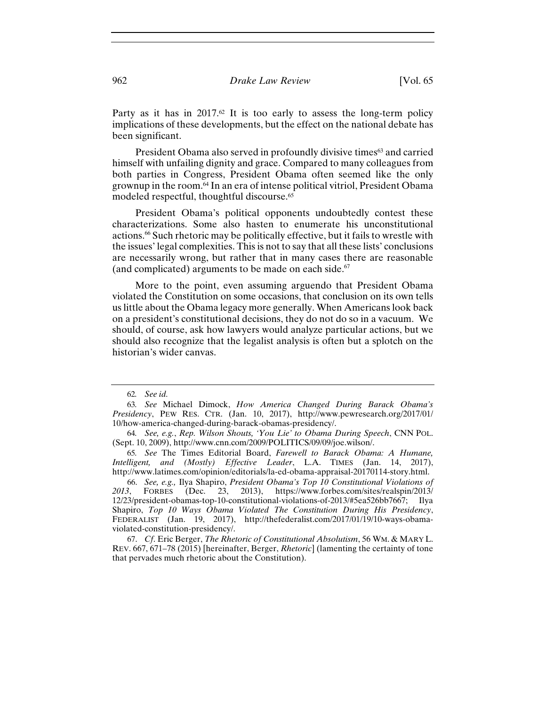Party as it has in  $2017<sup>62</sup>$  It is too early to assess the long-term policy implications of these developments, but the effect on the national debate has been significant.

President Obama also served in profoundly divisive times<sup>63</sup> and carried himself with unfailing dignity and grace. Compared to many colleagues from both parties in Congress, President Obama often seemed like the only grownup in the room.64 In an era of intense political vitriol, President Obama modeled respectful, thoughtful discourse.<sup>65</sup>

President Obama's political opponents undoubtedly contest these characterizations. Some also hasten to enumerate his unconstitutional actions.66 Such rhetoric may be politically effective, but it fails to wrestle with the issues' legal complexities. This is not to say that all these lists' conclusions are necessarily wrong, but rather that in many cases there are reasonable (and complicated) arguments to be made on each side. $67$ 

More to the point, even assuming arguendo that President Obama violated the Constitution on some occasions, that conclusion on its own tells us little about the Obama legacy more generally. When Americans look back on a president's constitutional decisions, they do not do so in a vacuum. We should, of course, ask how lawyers would analyze particular actions, but we should also recognize that the legalist analysis is often but a splotch on the historian's wider canvas.

<sup>62</sup>*. See id.*

<sup>63</sup>*. See* Michael Dimock, *How America Changed During Barack Obama's Presidency*, PEW RES. CTR. (Jan. 10, 2017), http://www.pewresearch.org/2017/01/ 10/how-america-changed-during-barack-obamas-presidency/.

<sup>64</sup>*. See, e.g.*, *Rep. Wilson Shouts, 'You Lie' to Obama During Speech*, CNN POL. (Sept. 10, 2009), http://www.cnn.com/2009/POLITICS/09/09/joe.wilson/.

<sup>65</sup>*. See* The Times Editorial Board, *Farewell to Barack Obama: A Humane, Intelligent, and (Mostly) Effective Leader*, L.A. TIMES (Jan. 14, 2017), http://www.latimes.com/opinion/editorials/la-ed-obama-appraisal-20170114-story.html.

<sup>66.</sup> *See, e.g.,* Ilya Shapiro, *President Obama's Top 10 Constitutional Violations of 2013*, FORBES (Dec. 23, 2013), https://www.forbes.com/sites/realspin/2013/ 12/23/president-obamas-top-10-constitutional-violations-of-2013/#5ea526bb7667; Ilya Shapiro, *Top 10 Ways Obama Violated The Constitution During His Presidency*, FEDERALIST (Jan. 19, 2017), http://thefederalist.com/2017/01/19/10-ways-obamaviolated-constitution-presidency/.

<sup>67.</sup> *Cf*. Eric Berger, *The Rhetoric of Constitutional Absolutism*, 56 WM. & MARY L. REV. 667, 671–78 (2015) [hereinafter, Berger, *Rhetoric*] (lamenting the certainty of tone that pervades much rhetoric about the Constitution).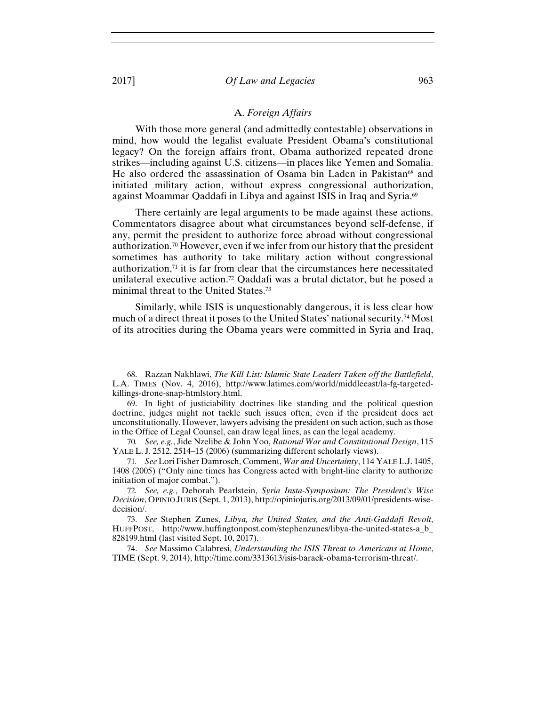#### A. *Foreign Affairs*

With those more general (and admittedly contestable) observations in mind, how would the legalist evaluate President Obama's constitutional legacy? On the foreign affairs front, Obama authorized repeated drone strikes—including against U.S. citizens—in places like Yemen and Somalia. He also ordered the assassination of Osama bin Laden in Pakistan<sup>68</sup> and initiated military action, without express congressional authorization, against Moammar Qaddafi in Libya and against ISIS in Iraq and Syria.69

There certainly are legal arguments to be made against these actions. Commentators disagree about what circumstances beyond self-defense, if any, permit the president to authorize force abroad without congressional authorization.70 However, even if we infer from our history that the president sometimes has authority to take military action without congressional authorization, $71$  it is far from clear that the circumstances here necessitated unilateral executive action.72 Qaddafi was a brutal dictator, but he posed a minimal threat to the United States.73

Similarly, while ISIS is unquestionably dangerous, it is less clear how much of a direct threat it poses to the United States' national security.74 Most of its atrocities during the Obama years were committed in Syria and Iraq,

<sup>68.</sup> Razzan Nakhlawi, *The Kill List: Islamic State Leaders Taken off the Battlefield*, L.A. TIMES (Nov. 4, 2016), http://www.latimes.com/world/middleeast/la-fg-targetedkillings-drone-snap-htmlstory.html.

<sup>69.</sup> In light of justiciability doctrines like standing and the political question doctrine, judges might not tackle such issues often, even if the president does act unconstitutionally. However, lawyers advising the president on such action, such as those in the Office of Legal Counsel, can draw legal lines, as can the legal academy.

<sup>70</sup>*. See, e.g.*, Jide Nzelibe & John Yoo, *Rational War and Constitutional Design*, 115 YALE L. J. 2512, 2514–15 (2006) (summarizing different scholarly views).

<sup>71</sup>*. See* Lori Fisher Damrosch, Comment, *War and Uncertainty*, 114 YALE L.J. 1405, 1408 (2005) ("Only nine times has Congress acted with bright-line clarity to authorize initiation of major combat.").

<sup>72</sup>*. See, e.g.*, Deborah Pearlstein, *Syria Insta-Symposium: The President's Wise Decision*, OPINIO JURIS (Sept. 1, 2013), http://opiniojuris.org/2013/09/01/presidents-wisedecision/.

<sup>73.</sup> *See* Stephen Zunes, *Libya, the United States, and the Anti-Gaddafi Revolt*, HUFFPOST, http://www.huffingtonpost.com/stephenzunes/libya-the-united-states-a\_b\_ 828199.html (last visited Sept. 10, 2017).

<sup>74.</sup> *See* Massimo Calabresi, *Understanding the ISIS Threat to Americans at Home*, TIME (Sept. 9, 2014), http://time.com/3313613/isis-barack-obama-terrorism-threat/.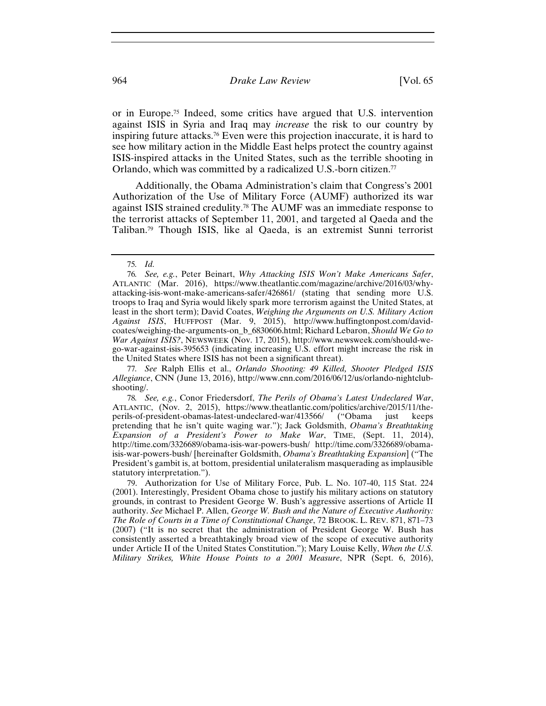or in Europe.75 Indeed, some critics have argued that U.S. intervention against ISIS in Syria and Iraq may *increase* the risk to our country by inspiring future attacks.76 Even were this projection inaccurate, it is hard to see how military action in the Middle East helps protect the country against ISIS-inspired attacks in the United States, such as the terrible shooting in Orlando, which was committed by a radicalized U.S.-born citizen.77

Additionally, the Obama Administration's claim that Congress's 2001 Authorization of the Use of Military Force (AUMF) authorized its war against ISIS strained credulity.78 The AUMF was an immediate response to the terrorist attacks of September 11, 2001, and targeted al Qaeda and the Taliban.79 Though ISIS, like al Qaeda, is an extremist Sunni terrorist

77*. See* Ralph Ellis et al., *Orlando Shooting: 49 Killed, Shooter Pledged ISIS Allegiance*, CNN (June 13, 2016), http://www.cnn.com/2016/06/12/us/orlando-nightclubshooting/.

78*. See, e.g.*, Conor Friedersdorf, *The Perils of Obama's Latest Undeclared War*, ATLANTIC, (Nov. 2, 2015), https://www.theatlantic.com/politics/archive/2015/11/theperils-of-president-obamas-latest-undeclared-war/413566/ ("Obama just keeps pretending that he isn't quite waging war."); Jack Goldsmith, *Obama's Breathtaking Expansion of a President's Power to Make War*, TIME, (Sept. 11, 2014), http://time.com/3326689/obama-isis-war-powers-bush/ http://time.com/3326689/obamaisis-war-powers-bush/ [hereinafter Goldsmith, *Obama's Breathtaking Expansion*] ("The President's gambit is, at bottom, presidential unilateralism masquerading as implausible statutory interpretation.").

79. Authorization for Use of Military Force, Pub. L. No. 107-40, 115 Stat. 224 (2001). Interestingly, President Obama chose to justify his military actions on statutory grounds, in contrast to President George W. Bush's aggressive assertions of Article II authority. *See* Michael P. Allen, *George W. Bush and the Nature of Executive Authority: The Role of Courts in a Time of Constitutional Change*, 72 BROOK. L. REV. 871, 871–73 (2007) ("It is no secret that the administration of President George W. Bush has consistently asserted a breathtakingly broad view of the scope of executive authority under Article II of the United States Constitution."); Mary Louise Kelly, *When the U.S. Military Strikes, White House Points to a 2001 Measure*, NPR (Sept. 6, 2016),

<sup>75</sup>*. Id.* 

<sup>76</sup>*. See, e.g.*, Peter Beinart, *Why Attacking ISIS Won't Make Americans Safer*, ATLANTIC (Mar. 2016), https://www.theatlantic.com/magazine/archive/2016/03/whyattacking-isis-wont-make-americans-safer/426861/ (stating that sending more U.S. troops to Iraq and Syria would likely spark more terrorism against the United States, at least in the short term); David Coates, *Weighing the Arguments on U.S. Military Action Against ISIS*, HUFFPOST (Mar. 9, 2015), http://www.huffingtonpost.com/davidcoates/weighing-the-arguments-on\_b\_6830606.html; Richard Lebaron, *Should We Go to War Against ISIS?*, NEWSWEEK (Nov. 17, 2015), http://www.newsweek.com/should-wego-war-against-isis-395653 (indicating increasing U.S. effort might increase the risk in the United States where ISIS has not been a significant threat).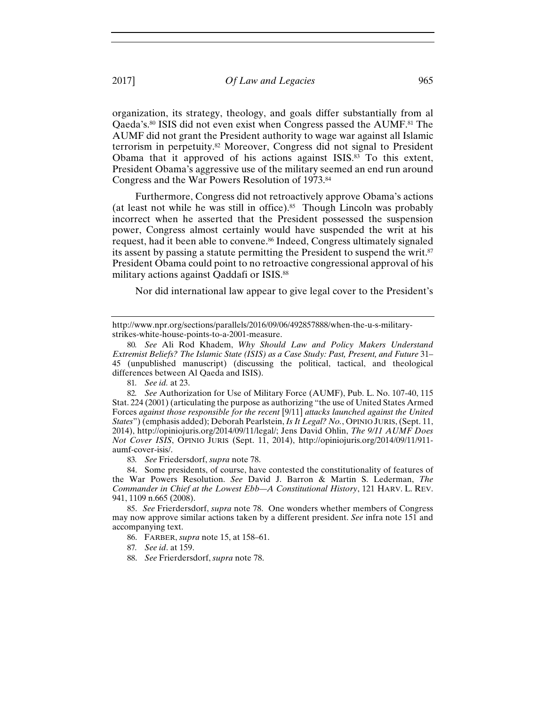organization, its strategy, theology, and goals differ substantially from al Qaeda's.80 ISIS did not even exist when Congress passed the AUMF.81 The AUMF did not grant the President authority to wage war against all Islamic terrorism in perpetuity.82 Moreover, Congress did not signal to President Obama that it approved of his actions against ISIS.<sup>83</sup> To this extent, President Obama's aggressive use of the military seemed an end run around Congress and the War Powers Resolution of 1973.84

Furthermore, Congress did not retroactively approve Obama's actions (at least not while he was still in office).<sup>85</sup> Though Lincoln was probably incorrect when he asserted that the President possessed the suspension power, Congress almost certainly would have suspended the writ at his request, had it been able to convene.86 Indeed, Congress ultimately signaled its assent by passing a statute permitting the President to suspend the writ.<sup>87</sup> President Obama could point to no retroactive congressional approval of his military actions against Qaddafi or ISIS.88

Nor did international law appear to give legal cover to the President's

81*. See id.* at 23.

82*. See* Authorization for Use of Military Force (AUMF), Pub. L. No. 107-40, 115 Stat. 224 (2001) (articulating the purpose as authorizing "the use of United States Armed Forces *against those responsible for the recent* [9/11] *attacks launched against the United States*") (emphasis added); Deborah Pearlstein, *Is It Legal? No.*, OPINIO JURIS, (Sept. 11, 2014), http://opiniojuris.org/2014/09/11/legal/; Jens David Ohlin, *The 9/11 AUMF Does Not Cover ISIS*, OPINIO JURIS (Sept. 11, 2014), http://opiniojuris.org/2014/09/11/911 aumf-cover-isis/.

83*. See* Friedersdorf, *supra* note 78.

84. Some presidents, of course, have contested the constitutionality of features of the War Powers Resolution. *See* David J. Barron & Martin S. Lederman, *The Commander in Chief at the Lowest Ebb—A Constitutional History*, 121 HARV. L. REV. 941, 1109 n.665 (2008).

85. *See* Frierdersdorf, *supra* note 78. One wonders whether members of Congress may now approve similar actions taken by a different president. *See* infra note 151 and accompanying text.

86. FARBER, *supra* note 15, at 158–61.

87*. See id*. at 159.

88. *See* Frierdersdorf, *supra* note 78.

http://www.npr.org/sections/parallels/2016/09/06/492857888/when-the-u-s-militarystrikes-white-house-points-to-a-2001-measure.

<sup>80</sup>*. See* Ali Rod Khadem, *Why Should Law and Policy Makers Understand Extremist Beliefs? The Islamic State (ISIS) as a Case Study: Past, Present, and Future* 31– 45 (unpublished manuscript) (discussing the political, tactical, and theological differences between Al Qaeda and ISIS).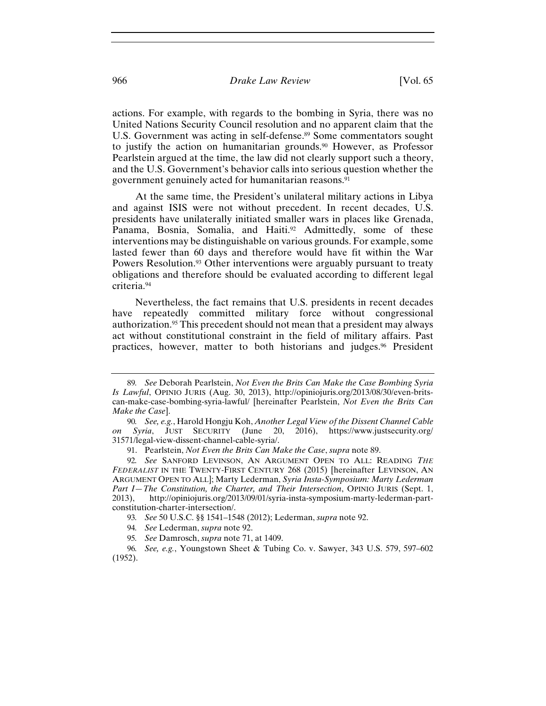#### 966 *Drake Law Review* [Vol. 65

actions. For example, with regards to the bombing in Syria, there was no United Nations Security Council resolution and no apparent claim that the U.S. Government was acting in self-defense.<sup>89</sup> Some commentators sought to justify the action on humanitarian grounds.<sup>90</sup> However, as Professor Pearlstein argued at the time, the law did not clearly support such a theory, and the U.S. Government's behavior calls into serious question whether the government genuinely acted for humanitarian reasons.<sup>91</sup>

At the same time, the President's unilateral military actions in Libya and against ISIS were not without precedent. In recent decades, U.S. presidents have unilaterally initiated smaller wars in places like Grenada, Panama, Bosnia, Somalia, and Haiti.<sup>92</sup> Admittedly, some of these interventions may be distinguishable on various grounds. For example, some lasted fewer than 60 days and therefore would have fit within the War Powers Resolution.<sup>93</sup> Other interventions were arguably pursuant to treaty obligations and therefore should be evaluated according to different legal criteria.94

Nevertheless, the fact remains that U.S. presidents in recent decades have repeatedly committed military force without congressional authorization.95 This precedent should not mean that a president may always act without constitutional constraint in the field of military affairs. Past practices, however, matter to both historians and judges.96 President

<sup>89</sup>*. See* Deborah Pearlstein, *Not Even the Brits Can Make the Case Bombing Syria Is Lawful*, OPINIO JURIS (Aug. 30, 2013), http://opiniojuris.org/2013/08/30/even-britscan-make-case-bombing-syria-lawful/ [hereinafter Pearlstein, *Not Even the Brits Can Make the Case*].

<sup>90</sup>*. See, e.g.*, Harold Hongju Koh, *Another Legal View of the Dissent Channel Cable on Syria*, JUST SECURITY (June 20, 2016), https://www.justsecurity.org/ 31571/legal-view-dissent-channel-cable-syria/.

<sup>91.</sup> Pearlstein, *Not Even the Brits Can Make the Case*, *supra* note 89.

<sup>92</sup>*. See* SANFORD LEVINSON, AN ARGUMENT OPEN TO ALL: READING *THE FEDERALIST* IN THE TWENTY-FIRST CENTURY 268 (2015) [hereinafter LEVINSON, AN ARGUMENT OPEN TO ALL]; Marty Lederman, *Syria Insta-Symposium: Marty Lederman Part I—The Constitution, the Charter, and Their Intersection*, OPINIO JURIS (Sept. 1, 2013), http://opiniojuris.org/2013/09/01/syria-insta-symposium-marty-lederman-partconstitution-charter-intersection/.

<sup>93</sup>*. See* 50 U.S.C. §§ 1541–1548 (2012); Lederman, *supra* note 92.

<sup>94</sup>*. See* Lederman, *supra* note 92.

<sup>95</sup>*. See* Damrosch, *supra* note 71, at 1409.

<sup>96</sup>*. See, e.g.*, Youngstown Sheet & Tubing Co. v. Sawyer, 343 U.S. 579, 597–602 (1952).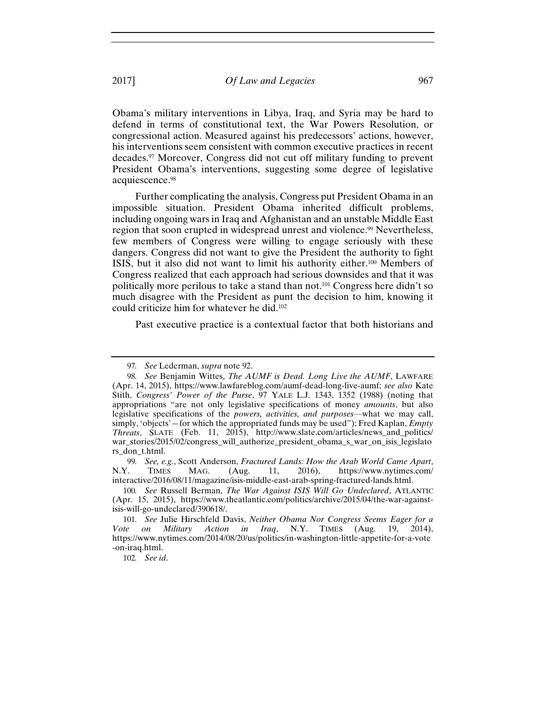Obama's military interventions in Libya, Iraq, and Syria may be hard to defend in terms of constitutional text, the War Powers Resolution, or congressional action. Measured against his predecessors' actions, however, his interventions seem consistent with common executive practices in recent decades.97 Moreover, Congress did not cut off military funding to prevent President Obama's interventions, suggesting some degree of legislative acquiescence.98

Further complicating the analysis, Congress put President Obama in an impossible situation. President Obama inherited difficult problems, including ongoing wars in Iraq and Afghanistan and an unstable Middle East region that soon erupted in widespread unrest and violence.<sup>99</sup> Nevertheless, few members of Congress were willing to engage seriously with these dangers. Congress did not want to give the President the authority to fight ISIS, but it also did not want to limit his authority either.100 Members of Congress realized that each approach had serious downsides and that it was politically more perilous to take a stand than not.101 Congress here didn't so much disagree with the President as punt the decision to him, knowing it could criticize him for whatever he did.102

Past executive practice is a contextual factor that both historians and

99*. See, e.g.*, Scott Anderson, *Fractured Lands: How the Arab World Came Apart*, N.Y. TIMES MAG. (Aug. 11, 2016), https://www.nytimes.com/ interactive/2016/08/11/magazine/isis-middle-east-arab-spring-fractured-lands.html.

102*. See id*.

<sup>97</sup>*. See* Lederman, *supra* note 92.

<sup>98</sup>*. See* Benjamin Wittes, *The AUMF is Dead. Long Live the AUMF*, LAWFARE (Apr. 14, 2015), https://www.lawfareblog.com/aumf-dead-long-live-aumf; *see also* Kate Stith, *Congress' Power of the Purse*, 97 YALE L.J. 1343, 1352 (1988) (noting that appropriations "are not only legislative specifications of money *amounts*, but also legislative specifications of the *powers, activities, and purposes*—what we may call, simply, 'objects'—for which the appropriated funds may be used"); Fred Kaplan, *Empty Threats*, SLATE (Feb. 11, 2015), http://www.slate.com/articles/news\_and\_politics/ war\_stories/2015/02/congress\_will\_authorize\_president\_obama\_s\_war\_on\_isis\_legislato rs\_don\_t.html.

<sup>100</sup>*. See* Russell Berman, *The War Against ISIS Will Go Undeclared*, ATLANTIC (Apr. 15, 2015), https://www.theatlantic.com/politics/archive/2015/04/the-war-againstisis-will-go-undeclared/390618/.

<sup>101</sup>*. See* Julie Hirschfeld Davis, *Neither Obama Nor Congress Seems Eager for a Vote on Military Action in Iraq*, N.Y. TIMES (Aug. 19, 2014), https://www.nytimes.com/2014/08/20/us/politics/in-washington-little-appetite-for-a-vote -on-iraq.html.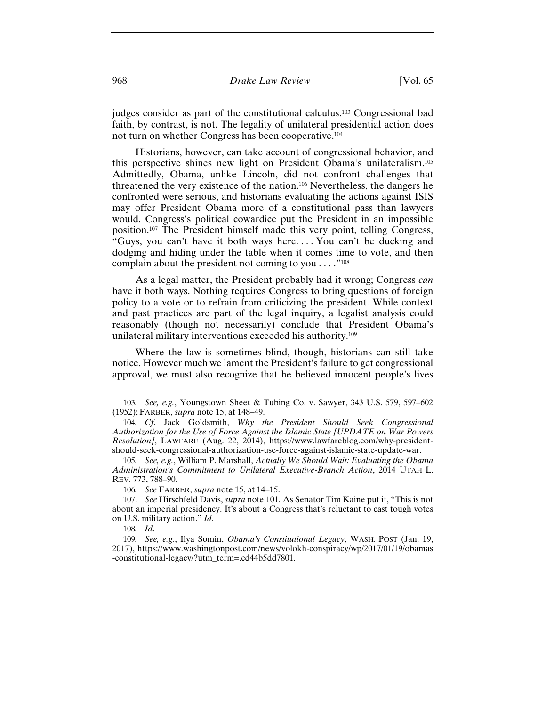judges consider as part of the constitutional calculus.103 Congressional bad faith, by contrast, is not. The legality of unilateral presidential action does not turn on whether Congress has been cooperative.104

Historians, however, can take account of congressional behavior, and this perspective shines new light on President Obama's unilateralism.105 Admittedly, Obama, unlike Lincoln, did not confront challenges that threatened the very existence of the nation.106 Nevertheless, the dangers he confronted were serious, and historians evaluating the actions against ISIS may offer President Obama more of a constitutional pass than lawyers would. Congress's political cowardice put the President in an impossible position.107 The President himself made this very point, telling Congress, "Guys, you can't have it both ways here. . . . You can't be ducking and dodging and hiding under the table when it comes time to vote, and then complain about the president not coming to you  $\dots$ ."<sup>108</sup>

As a legal matter, the President probably had it wrong; Congress *can*  have it both ways. Nothing requires Congress to bring questions of foreign policy to a vote or to refrain from criticizing the president. While context and past practices are part of the legal inquiry, a legalist analysis could reasonably (though not necessarily) conclude that President Obama's unilateral military interventions exceeded his authority.109

Where the law is sometimes blind, though, historians can still take notice. However much we lament the President's failure to get congressional approval, we must also recognize that he believed innocent people's lives

<sup>103</sup>*. See, e.g.*, Youngstown Sheet & Tubing Co. v. Sawyer, 343 U.S. 579, 597–602 (1952); FARBER, *supra* note 15, at 148–49.

<sup>104</sup>*. Cf*. Jack Goldsmith, *Why the President Should Seek Congressional Authorization for the Use of Force Against the Islamic State [UPDATE on War Powers Resolution]*, LAWFARE (Aug. 22, 2014), https://www.lawfareblog.com/why-presidentshould-seek-congressional-authorization-use-force-against-islamic-state-update-war.

<sup>105</sup>*. See, e.g.*, William P. Marshall, *Actually We Should Wait: Evaluating the Obama Administration's Commitment to Unilateral Executive-Branch Action*, 2014 UTAH L. REV. 773, 788–90.

<sup>106</sup>*. See* FARBER, *supra* note 15, at 14–15.

<sup>107.</sup> *See* Hirschfeld Davis, *supra* note 101. As Senator Tim Kaine put it, "This is not about an imperial presidency. It's about a Congress that's reluctant to cast tough votes on U.S. military action." *Id.*

<sup>108</sup>*. Id*.

<sup>109</sup>*. See, e.g.*, Ilya Somin, *Obama's Constitutional Legacy*, WASH. POST (Jan. 19, 2017), https://www.washingtonpost.com/news/volokh-conspiracy/wp/2017/01/19/obamas -constitutional-legacy/?utm\_term=.cd44b5dd7801.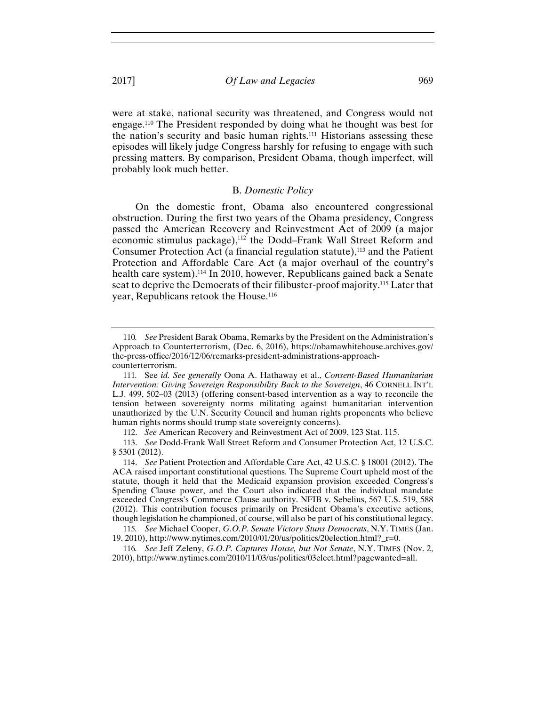were at stake, national security was threatened, and Congress would not engage.110 The President responded by doing what he thought was best for the nation's security and basic human rights.111 Historians assessing these episodes will likely judge Congress harshly for refusing to engage with such pressing matters. By comparison, President Obama, though imperfect, will probably look much better.

#### B. *Domestic Policy*

On the domestic front, Obama also encountered congressional obstruction. During the first two years of the Obama presidency, Congress passed the American Recovery and Reinvestment Act of 2009 (a major economic stimulus package),<sup>112</sup> the Dodd–Frank Wall Street Reform and Consumer Protection Act (a financial regulation statute),<sup>113</sup> and the Patient Protection and Affordable Care Act (a major overhaul of the country's health care system).<sup>114</sup> In 2010, however, Republicans gained back a Senate seat to deprive the Democrats of their filibuster-proof majority.115 Later that year, Republicans retook the House.116

<sup>110</sup>*. See* President Barak Obama, Remarks by the President on the Administration's Approach to Counterterrorism, (Dec. 6, 2016), https://obamawhitehouse.archives.gov/ the-press-office/2016/12/06/remarks-president-administrations-approachcounterterrorism.

<sup>111</sup>*.* See *id. See generally* Oona A. Hathaway et al., *Consent-Based Humanitarian Intervention: Giving Sovereign Responsibility Back to the Sovereign*, 46 CORNELL INT'L L.J. 499, 502–03 (2013) (offering consent-based intervention as a way to reconcile the tension between sovereignty norms militating against humanitarian intervention unauthorized by the U.N. Security Council and human rights proponents who believe human rights norms should trump state sovereignty concerns).

<sup>112.</sup> *See* American Recovery and Reinvestment Act of 2009, 123 Stat. 115.

<sup>113.</sup> *See* Dodd-Frank Wall Street Reform and Consumer Protection Act, 12 U.S.C. § 5301 (2012).

<sup>114.</sup> *See* Patient Protection and Affordable Care Act, 42 U.S.C. § 18001 (2012). The ACA raised important constitutional questions. The Supreme Court upheld most of the statute, though it held that the Medicaid expansion provision exceeded Congress's Spending Clause power, and the Court also indicated that the individual mandate exceeded Congress's Commerce Clause authority. NFIB v. Sebelius, 567 U.S. 519, 588 (2012). This contribution focuses primarily on President Obama's executive actions, though legislation he championed, of course, will also be part of his constitutional legacy.

<sup>115</sup>*. See* Michael Cooper, *G.O.P. Senate Victory Stuns Democrats*, N.Y. TIMES (Jan. 19, 2010), http://www.nytimes.com/2010/01/20/us/politics/20election.html?\_r=0.

<sup>116</sup>*. See* Jeff Zeleny, *G.O.P. Captures House, but Not Senate*, N.Y. TIMES (Nov. 2, 2010), http://www.nytimes.com/2010/11/03/us/politics/03elect.html?pagewanted=all.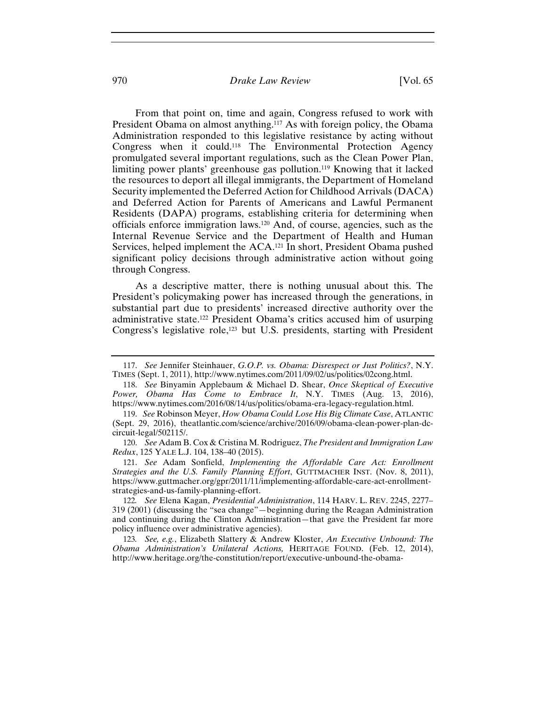### 970 *Drake Law Review* [Vol. 65

From that point on, time and again, Congress refused to work with President Obama on almost anything.<sup>117</sup> As with foreign policy, the Obama Administration responded to this legislative resistance by acting without Congress when it could.118 The Environmental Protection Agency promulgated several important regulations, such as the Clean Power Plan, limiting power plants' greenhouse gas pollution.119 Knowing that it lacked the resources to deport all illegal immigrants, the Department of Homeland Security implemented the Deferred Action for Childhood Arrivals (DACA) and Deferred Action for Parents of Americans and Lawful Permanent Residents (DAPA) programs, establishing criteria for determining when officials enforce immigration laws.120 And, of course, agencies, such as the Internal Revenue Service and the Department of Health and Human Services, helped implement the ACA.<sup>121</sup> In short, President Obama pushed significant policy decisions through administrative action without going through Congress.

As a descriptive matter, there is nothing unusual about this. The President's policymaking power has increased through the generations, in substantial part due to presidents' increased directive authority over the administrative state.122 President Obama's critics accused him of usurping Congress's legislative role,<sup>123</sup> but U.S. presidents, starting with President

<sup>117.</sup> *See* Jennifer Steinhauer, *G.O.P. vs. Obama: Disrespect or Just Politics?*, N.Y. TIMES (Sept. 1, 2011), http://www.nytimes.com/2011/09/02/us/politics/02cong.html.

<sup>118.</sup> *See* Binyamin Applebaum & Michael D. Shear, *Once Skeptical of Executive Power, Obama Has Come to Embrace It*, N.Y. TIMES (Aug. 13, 2016), https://www.nytimes.com/2016/08/14/us/politics/obama-era-legacy-regulation.html.

<sup>119.</sup> *See* Robinson Meyer, *How Obama Could Lose His Big Climate Case*, ATLANTIC (Sept. 29, 2016), theatlantic.com/science/archive/2016/09/obama-clean-power-plan-dccircuit-legal/502115/.

<sup>120.</sup> *See* Adam B. Cox & Cristina M. Rodriguez, *The President and Immigration Law Redux*, 125 YALE L.J. 104, 138–40 (2015).

<sup>121.</sup> *See* Adam Sonfield, *Implementing the Affordable Care Act: Enrollment Strategies and the U.S. Family Planning Effort*, GUTTMACHER INST. (Nov. 8, 2011), https://www.guttmacher.org/gpr/2011/11/implementing-affordable-care-act-enrollmentstrategies-and-us-family-planning-effort.

<sup>122</sup>*. See* Elena Kagan, *Presidential Administration*, 114 HARV. L. REV. 2245, 2277– 319 (2001) (discussing the "sea change"—beginning during the Reagan Administration and continuing during the Clinton Administration—that gave the President far more policy influence over administrative agencies).

<sup>123</sup>*. See, e.g.*, Elizabeth Slattery & Andrew Kloster, *An Executive Unbound: The Obama Administration's Unilateral Actions,* HERITAGE FOUND. (Feb. 12, 2014), http://www.heritage.org/the-constitution/report/executive-unbound-the-obama-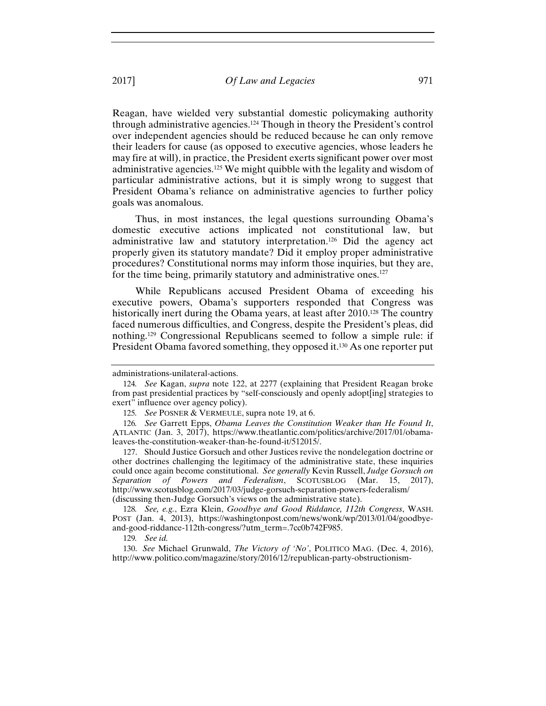Reagan, have wielded very substantial domestic policymaking authority through administrative agencies.124 Though in theory the President's control over independent agencies should be reduced because he can only remove their leaders for cause (as opposed to executive agencies, whose leaders he may fire at will), in practice, the President exerts significant power over most administrative agencies.125 We might quibble with the legality and wisdom of particular administrative actions, but it is simply wrong to suggest that President Obama's reliance on administrative agencies to further policy goals was anomalous.

Thus, in most instances, the legal questions surrounding Obama's domestic executive actions implicated not constitutional law, but administrative law and statutory interpretation.126 Did the agency act properly given its statutory mandate? Did it employ proper administrative procedures? Constitutional norms may inform those inquiries, but they are, for the time being, primarily statutory and administrative ones.127

While Republicans accused President Obama of exceeding his executive powers, Obama's supporters responded that Congress was historically inert during the Obama years, at least after 2010.<sup>128</sup> The country faced numerous difficulties, and Congress, despite the President's pleas, did nothing.129 Congressional Republicans seemed to follow a simple rule: if President Obama favored something, they opposed it.<sup>130</sup> As one reporter put

127. Should Justice Gorsuch and other Justices revive the nondelegation doctrine or other doctrines challenging the legitimacy of the administrative state, these inquiries could once again become constitutional. *See generally* Kevin Russell, *Judge Gorsuch on Separation of Powers and Federalism*, SCOTUSBLOG (Mar. 15, 2017), http://www.scotusblog.com/2017/03/judge-gorsuch-separation-powers-federalism/ (discussing then-Judge Gorsuch's views on the administrative state).

128*. See, e.g.*, Ezra Klein, *Goodbye and Good Riddance, 112th Congress*, WASH. POST (Jan. 4, 2013), https://washingtonpost.com/news/wonk/wp/2013/01/04/goodbyeand-good-riddance-112th-congress/?utm\_term=.7cc0b742F985.

130. *See* Michael Grunwald, *The Victory of 'No'*, POLITICO MAG. (Dec. 4, 2016), http://www.politico.com/magazine/story/2016/12/republican-party-obstructionism-

administrations-unilateral-actions.

<sup>124</sup>*. See* Kagan, *supra* note 122, at 2277 (explaining that President Reagan broke from past presidential practices by "self-consciously and openly adopt[ing] strategies to exert" influence over agency policy).

<sup>125</sup>*. See* POSNER & VERMEULE, supra note 19, at 6.

<sup>126</sup>*. See* Garrett Epps, *Obama Leaves the Constitution Weaker than He Found It*, ATLANTIC (Jan. 3, 2017), https://www.theatlantic.com/politics/archive/2017/01/obamaleaves-the-constitution-weaker-than-he-found-it/512015/.

<sup>129</sup>*. See id.*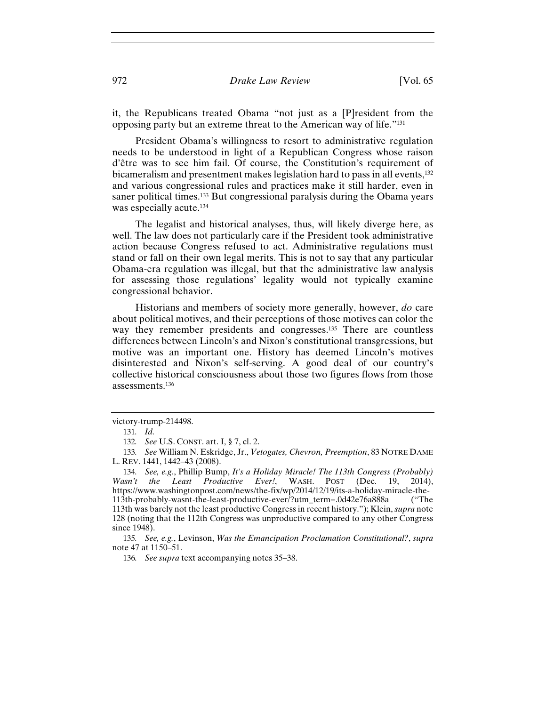it, the Republicans treated Obama "not just as a [P]resident from the opposing party but an extreme threat to the American way of life."131

President Obama's willingness to resort to administrative regulation needs to be understood in light of a Republican Congress whose raison d'être was to see him fail. Of course, the Constitution's requirement of bicameralism and presentment makes legislation hard to pass in all events,132 and various congressional rules and practices make it still harder, even in saner political times.133 But congressional paralysis during the Obama years was especially acute.<sup>134</sup>

The legalist and historical analyses, thus, will likely diverge here, as well. The law does not particularly care if the President took administrative action because Congress refused to act. Administrative regulations must stand or fall on their own legal merits. This is not to say that any particular Obama-era regulation was illegal, but that the administrative law analysis for assessing those regulations' legality would not typically examine congressional behavior.

Historians and members of society more generally, however, *do* care about political motives, and their perceptions of those motives can color the way they remember presidents and congresses.<sup>135</sup> There are countless differences between Lincoln's and Nixon's constitutional transgressions, but motive was an important one. History has deemed Lincoln's motives disinterested and Nixon's self-serving. A good deal of our country's collective historical consciousness about those two figures flows from those assessments.136

victory-trump-214498.

<sup>131</sup>*. Id.*

<sup>132</sup>*. See* U.S. CONST. art. I, § 7, cl. 2.

<sup>133</sup>*. See* William N. Eskridge, Jr., *Vetogates, Chevron, Preemption*, 83 NOTRE DAME L. REV. 1441, 1442–43 (2008).

<sup>134</sup>*. See, e.g.*, Phillip Bump, *It's a Holiday Miracle! The 113th Congress (Probably) Wasn't the Least Productive Ever!*, WASH. POST (Dec. 19, 2014), https://www.washingtonpost.com/news/the-fix/wp/2014/12/19/its-a-holiday-miracle-the-113th-probably-wasnt-the-least-productive-ever/?utm\_term=.0d42e76a888a ("The 113th was barely not the least productive Congress in recent history."); Klein, *supra* note 128 (noting that the 112th Congress was unproductive compared to any other Congress since 1948).

<sup>135</sup>*. See, e.g.*, Levinson, *Was the Emancipation Proclamation Constitutional?*, *supra* note 47 at 1150–51.

<sup>136</sup>*. See supra* text accompanying notes 35–38.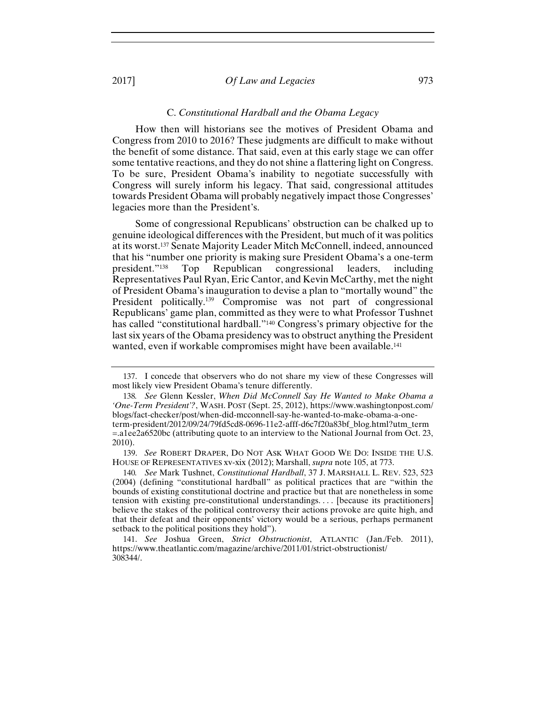#### C. *Constitutional Hardball and the Obama Legacy*

How then will historians see the motives of President Obama and Congress from 2010 to 2016? These judgments are difficult to make without the benefit of some distance. That said, even at this early stage we can offer some tentative reactions, and they do not shine a flattering light on Congress. To be sure, President Obama's inability to negotiate successfully with Congress will surely inform his legacy. That said, congressional attitudes towards President Obama will probably negatively impact those Congresses' legacies more than the President's.

Some of congressional Republicans' obstruction can be chalked up to genuine ideological differences with the President, but much of it was politics at its worst.137 Senate Majority Leader Mitch McConnell, indeed, announced that his "number one priority is making sure President Obama's a one-term president."138 Top Republican congressional leaders, including Representatives Paul Ryan, Eric Cantor, and Kevin McCarthy, met the night of President Obama's inauguration to devise a plan to "mortally wound" the President politically.<sup>139</sup> Compromise was not part of congressional Republicans' game plan, committed as they were to what Professor Tushnet has called "constitutional hardball."140 Congress's primary objective for the last six years of the Obama presidency was to obstruct anything the President wanted, even if workable compromises might have been available.<sup>141</sup>

139. *See* ROBERT DRAPER, DO NOT ASK WHAT GOOD WE DO: INSIDE THE U.S. HOUSE OF REPRESENTATIVES xv-xix (2012); Marshall, *supra* note 105, at 773.

140*. See* Mark Tushnet, *Constitutional Hardball*, 37 J. MARSHALL L. REV. 523, 523 (2004) (defining "constitutional hardball" as political practices that are "within the bounds of existing constitutional doctrine and practice but that are nonetheless in some tension with existing pre-constitutional understandings. . . . [because its practitioners] believe the stakes of the political controversy their actions provoke are quite high, and that their defeat and their opponents' victory would be a serious, perhaps permanent setback to the political positions they hold").

141. *See* Joshua Green, *Strict Obstructionist*, ATLANTIC (Jan./Feb. 2011), https://www.theatlantic.com/magazine/archive/2011/01/strict-obstructionist/ 308344/.

<sup>137.</sup> I concede that observers who do not share my view of these Congresses will most likely view President Obama's tenure differently.

<sup>138</sup>*. See* Glenn Kessler, *When Did McConnell Say He Wanted to Make Obama a 'One-Term President'?*, WASH. POST (Sept. 25, 2012), https://www.washingtonpost.com/ blogs/fact-checker/post/when-did-mcconnell-say-he-wanted-to-make-obama-a-oneterm-president/2012/09/24/79fd5cd8-0696-11e2-afff-d6c7f20a83bf\_blog.html?utm\_term =.a1ee2a6520bc (attributing quote to an interview to the National Journal from Oct. 23, 2010).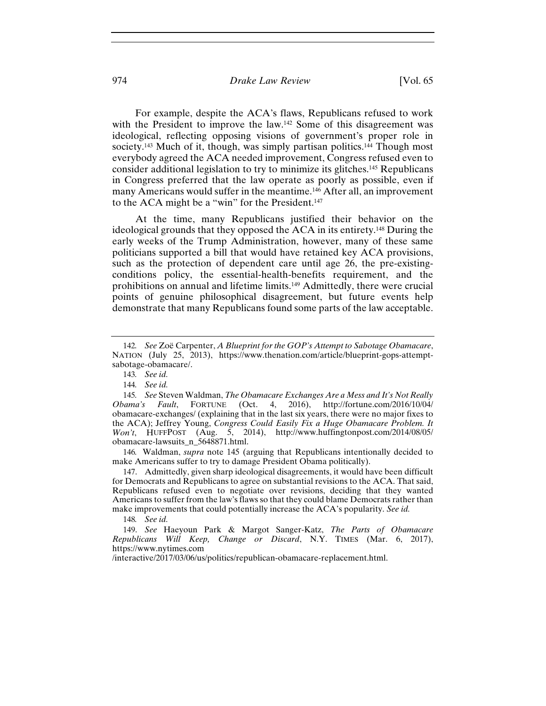# 974 *Drake Law Review* [Vol. 65

For example, despite the ACA's flaws, Republicans refused to work with the President to improve the law.<sup>142</sup> Some of this disagreement was ideological, reflecting opposing visions of government's proper role in society.<sup>143</sup> Much of it, though, was simply partisan politics.<sup>144</sup> Though most everybody agreed the ACA needed improvement, Congress refused even to consider additional legislation to try to minimize its glitches.145 Republicans in Congress preferred that the law operate as poorly as possible, even if many Americans would suffer in the meantime.146 After all, an improvement to the ACA might be a "win" for the President.<sup>147</sup>

At the time, many Republicans justified their behavior on the ideological grounds that they opposed the ACA in its entirety.148 During the early weeks of the Trump Administration, however, many of these same politicians supported a bill that would have retained key ACA provisions, such as the protection of dependent care until age 26, the pre-existingconditions policy, the essential-health-benefits requirement, and the prohibitions on annual and lifetime limits.149 Admittedly, there were crucial points of genuine philosophical disagreement, but future events help demonstrate that many Republicans found some parts of the law acceptable.

146*.* Waldman, *supra* note 145 (arguing that Republicans intentionally decided to make Americans suffer to try to damage President Obama politically).

147. Admittedly, given sharp ideological disagreements, it would have been difficult for Democrats and Republicans to agree on substantial revisions to the ACA. That said, Republicans refused even to negotiate over revisions, deciding that they wanted Americans to suffer from the law's flaws so that they could blame Democrats rather than make improvements that could potentially increase the ACA's popularity. *See id.* 

148*. See id.*

149. *See* Haeyoun Park & Margot Sanger-Katz, *The Parts of Obamacare Republicans Will Keep, Change or Discard*, N.Y. TIMES (Mar. 6, 2017), https://www.nytimes.com

/interactive/2017/03/06/us/politics/republican-obamacare-replacement.html.

<sup>142</sup>*. See* Zoë Carpenter, *A Blueprint for the GOP's Attempt to Sabotage Obamacare*, NATION (July 25, 2013), https://www.thenation.com/article/blueprint-gops-attemptsabotage-obamacare/.

<sup>143</sup>*. See id.*

<sup>144</sup>*. See id.* 

<sup>145</sup>*. See* Steven Waldman, *The Obamacare Exchanges Are a Mess and It's Not Really Obama's Fault*, FORTUNE (Oct. 4, 2016), http://fortune.com/2016/10/04/ obamacare-exchanges/ (explaining that in the last six years, there were no major fixes to the ACA); Jeffrey Young, *Congress Could Easily Fix a Huge Obamacare Problem. It Won't*, HUFFPOST (Aug. 5, 2014), http://www.huffingtonpost.com/2014/08/05/ obamacare-lawsuits\_n\_5648871.html.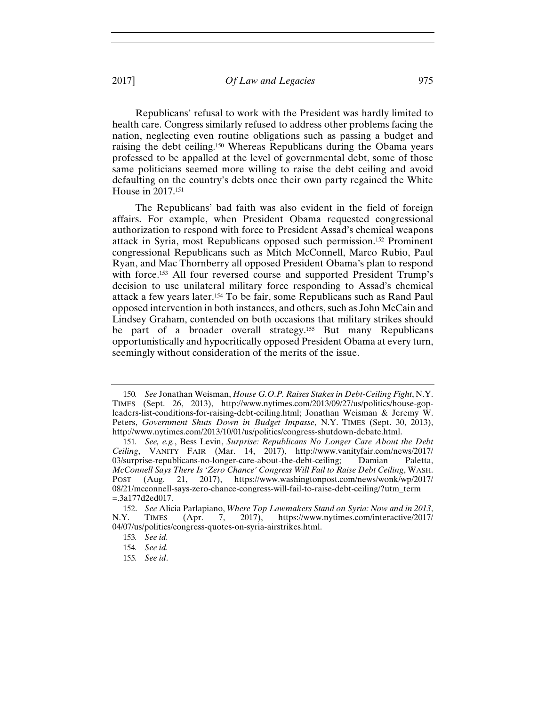Republicans' refusal to work with the President was hardly limited to health care. Congress similarly refused to address other problems facing the nation, neglecting even routine obligations such as passing a budget and raising the debt ceiling.150 Whereas Republicans during the Obama years professed to be appalled at the level of governmental debt, some of those same politicians seemed more willing to raise the debt ceiling and avoid defaulting on the country's debts once their own party regained the White House in 2017.151

The Republicans' bad faith was also evident in the field of foreign affairs. For example, when President Obama requested congressional authorization to respond with force to President Assad's chemical weapons attack in Syria, most Republicans opposed such permission.152 Prominent congressional Republicans such as Mitch McConnell, Marco Rubio, Paul Ryan, and Mac Thornberry all opposed President Obama's plan to respond with force.<sup>153</sup> All four reversed course and supported President Trump's decision to use unilateral military force responding to Assad's chemical attack a few years later.154 To be fair, some Republicans such as Rand Paul opposed intervention in both instances, and others, such as John McCain and Lindsey Graham, contended on both occasions that military strikes should be part of a broader overall strategy.155 But many Republicans opportunistically and hypocritically opposed President Obama at every turn, seemingly without consideration of the merits of the issue.

<sup>150</sup>*. See* Jonathan Weisman, *House G.O.P. Raises Stakes in Debt-Ceiling Fight*, N.Y. TIMES (Sept. 26, 2013), http://www.nytimes.com/2013/09/27/us/politics/house-gopleaders-list-conditions-for-raising-debt-ceiling.html; Jonathan Weisman & Jeremy W. Peters, *Government Shuts Down in Budget Impasse*, N.Y. TIMES (Sept. 30, 2013), http://www.nytimes.com/2013/10/01/us/politics/congress-shutdown-debate.html.

<sup>151</sup>*. See, e.g.*, Bess Levin, *Surprise: Republicans No Longer Care About the Debt Ceiling*, VANITY FAIR (Mar. 14, 2017), http://www.vanityfair.com/news/2017/ 03/surprise-republicans-no-longer-care-about-the-debt-ceiling; Damian Paletta, *McConnell Says There Is 'Zero Chance' Congress Will Fail to Raise Debt Ceiling*, WASH. POST (Aug. 21, 2017), https://www.washingtonpost.com/news/wonk/wp/2017/ 08/21/mcconnell-says-zero-chance-congress-will-fail-to-raise-debt-ceiling/?utm\_term =.3a177d2ed017.

<sup>152.</sup> *See* Alicia Parlapiano, *Where Top Lawmakers Stand on Syria: Now and in 2013*, N.Y. TIMES (Apr. 7, 2017), https://www.nytimes.com/interactive/2017/ 04/07/us/politics/congress-quotes-on-syria-airstrikes.html.

<sup>153</sup>*. See id.*

<sup>154</sup>*. See id.*

<sup>155</sup>*. See id*.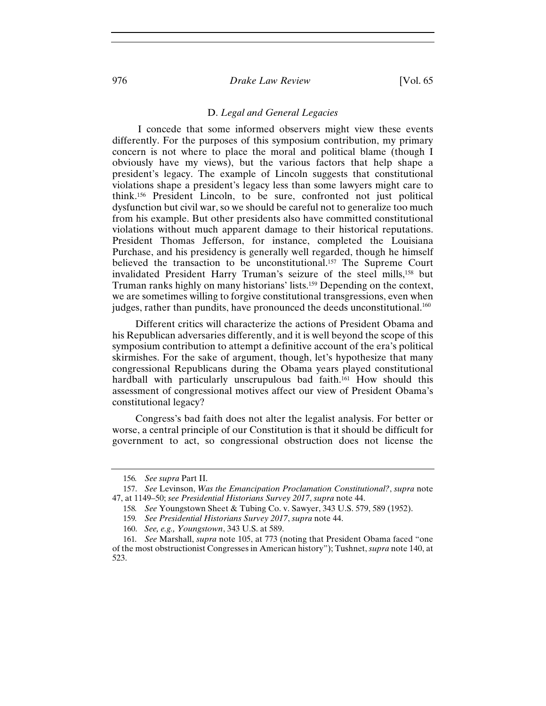# 976 *Drake Law Review* [Vol. 65

#### D. *Legal and General Legacies*

 I concede that some informed observers might view these events differently. For the purposes of this symposium contribution, my primary concern is not where to place the moral and political blame (though I obviously have my views), but the various factors that help shape a president's legacy. The example of Lincoln suggests that constitutional violations shape a president's legacy less than some lawyers might care to think.156 President Lincoln, to be sure, confronted not just political dysfunction but civil war, so we should be careful not to generalize too much from his example. But other presidents also have committed constitutional violations without much apparent damage to their historical reputations. President Thomas Jefferson, for instance, completed the Louisiana Purchase, and his presidency is generally well regarded, though he himself believed the transaction to be unconstitutional.157 The Supreme Court invalidated President Harry Truman's seizure of the steel mills,158 but Truman ranks highly on many historians' lists.159 Depending on the context, we are sometimes willing to forgive constitutional transgressions, even when judges, rather than pundits, have pronounced the deeds unconstitutional.<sup>160</sup>

Different critics will characterize the actions of President Obama and his Republican adversaries differently, and it is well beyond the scope of this symposium contribution to attempt a definitive account of the era's political skirmishes. For the sake of argument, though, let's hypothesize that many congressional Republicans during the Obama years played constitutional hardball with particularly unscrupulous bad faith.<sup>161</sup> How should this assessment of congressional motives affect our view of President Obama's constitutional legacy?

Congress's bad faith does not alter the legalist analysis. For better or worse, a central principle of our Constitution is that it should be difficult for government to act, so congressional obstruction does not license the

<sup>156</sup>*. See supra* Part II.

<sup>157.</sup> *See* Levinson, *Was the Emancipation Proclamation Constitutional?*, *supra* note 47, at 1149–50; *see Presidential Historians Survey 2017*, *supra* note 44.

<sup>158</sup>*. See* Youngstown Sheet & Tubing Co. v. Sawyer, 343 U.S. 579, 589 (1952).

<sup>159</sup>*. See Presidential Historians Survey 2017*, *supra* note 44.

<sup>160.</sup> *See, e.g., Youngstown*, 343 U.S. at 589.

<sup>161</sup>*. See* Marshall, *supra* note 105, at 773 (noting that President Obama faced "one of the most obstructionist Congresses in American history"); Tushnet, *supra* note 140, at 523.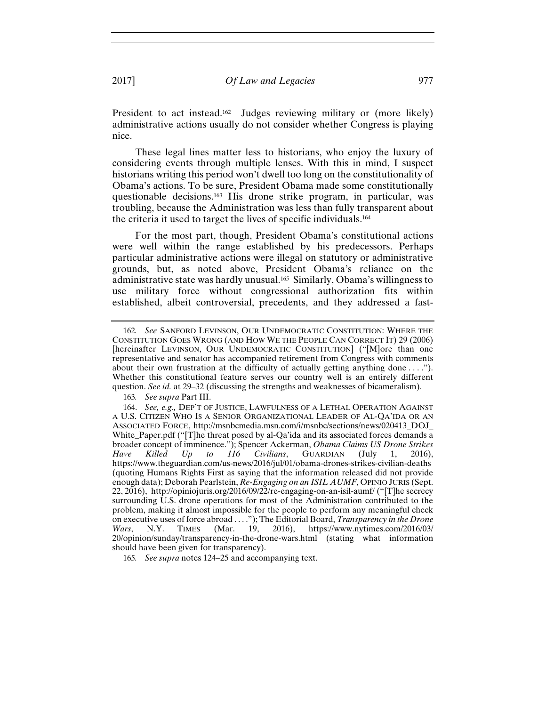President to act instead.<sup>162</sup> Judges reviewing military or (more likely) administrative actions usually do not consider whether Congress is playing nice.

 These legal lines matter less to historians, who enjoy the luxury of considering events through multiple lenses. With this in mind, I suspect historians writing this period won't dwell too long on the constitutionality of Obama's actions. To be sure, President Obama made some constitutionally questionable decisions.163 His drone strike program, in particular, was troubling, because the Administration was less than fully transparent about the criteria it used to target the lives of specific individuals.164

For the most part, though, President Obama's constitutional actions were well within the range established by his predecessors. Perhaps particular administrative actions were illegal on statutory or administrative grounds, but, as noted above, President Obama's reliance on the administrative state was hardly unusual.165 Similarly, Obama's willingness to use military force without congressional authorization fits within established, albeit controversial, precedents, and they addressed a fast-

<sup>162</sup>*. See* SANFORD LEVINSON, OUR UNDEMOCRATIC CONSTITUTION: WHERE THE CONSTITUTION GOES WRONG (AND HOW WE THE PEOPLE CAN CORRECT IT) 29 (2006) [hereinafter LEVINSON, OUR UNDEMOCRATIC CONSTITUTION] ("[M]ore than one representative and senator has accompanied retirement from Congress with comments about their own frustration at the difficulty of actually getting anything done . . . ."). Whether this constitutional feature serves our country well is an entirely different question. *See id.* at 29–32 (discussing the strengths and weaknesses of bicameralism).

<sup>163</sup>*. See supra* Part III.

<sup>164.</sup> *See, e.g.,* DEP'T OF JUSTICE, LAWFULNESS OF A LETHAL OPERATION AGAINST A U.S. CITIZEN WHO IS A SENIOR ORGANIZATIONAL LEADER OF AL-QA'IDA OR AN ASSOCIATED FORCE, http://msnbcmedia.msn.com/i/msnbc/sections/news/020413\_DOJ\_ White Paper.pdf ("[T]he threat posed by al-Qa'ida and its associated forces demands a broader concept of imminence."); Spencer Ackerman, *Obama Claims US Drone Strikes Have Killed Up to 116 Civilians*, GUARDIAN (July 1, 2016), https://www.theguardian.com/us-news/2016/jul/01/obama-drones-strikes-civilian-deaths (quoting Humans Rights First as saying that the information released did not provide enough data); Deborah Pearlstein, *Re-Engaging on an ISIL AUMF*, OPINIO JURIS (Sept. 22, 2016), http://opiniojuris.org/2016/09/22/re-engaging-on-an-isil-aumf/ ("[T]he secrecy surrounding U.S. drone operations for most of the Administration contributed to the problem, making it almost impossible for the people to perform any meaningful check on executive uses of force abroad . . . ."); The Editorial Board, *Transparency in the Drone Wars*, N.Y. TIMES (Mar. 19, 2016), https://www.nytimes.com/2016/03/ 20/opinion/sunday/transparency-in-the-drone-wars.html (stating what information should have been given for transparency).

<sup>165</sup>*. See supra* notes 124–25 and accompanying text.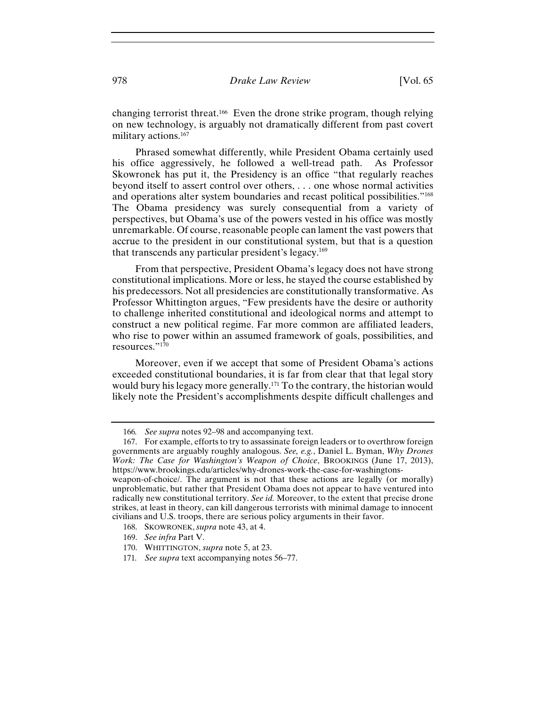changing terrorist threat.166 Even the drone strike program, though relying on new technology, is arguably not dramatically different from past covert military actions.167

Phrased somewhat differently, while President Obama certainly used his office aggressively, he followed a well-tread path. As Professor Skowronek has put it, the Presidency is an office "that regularly reaches beyond itself to assert control over others, . . . one whose normal activities and operations alter system boundaries and recast political possibilities."168 The Obama presidency was surely consequential from a variety of perspectives, but Obama's use of the powers vested in his office was mostly unremarkable. Of course, reasonable people can lament the vast powers that accrue to the president in our constitutional system, but that is a question that transcends any particular president's legacy.169

From that perspective, President Obama's legacy does not have strong constitutional implications. More or less, he stayed the course established by his predecessors. Not all presidencies are constitutionally transformative. As Professor Whittington argues, "Few presidents have the desire or authority to challenge inherited constitutional and ideological norms and attempt to construct a new political regime. Far more common are affiliated leaders, who rise to power within an assumed framework of goals, possibilities, and resources."170

Moreover, even if we accept that some of President Obama's actions exceeded constitutional boundaries, it is far from clear that that legal story would bury his legacy more generally.171 To the contrary, the historian would likely note the President's accomplishments despite difficult challenges and

<sup>166</sup>*. See supra* notes 92–98 and accompanying text.

<sup>167.</sup> For example, efforts to try to assassinate foreign leaders or to overthrow foreign governments are arguably roughly analogous. *See, e.g.*, Daniel L. Byman, *Why Drones Work: The Case for Washington's Weapon of Choice*, BROOKINGS (June 17, 2013), https://www.brookings.edu/articles/why-drones-work-the-case-for-washingtonsweapon-of-choice/. The argument is not that these actions are legally (or morally) unproblematic, but rather that President Obama does not appear to have ventured into

radically new constitutional territory. *See id.* Moreover, to the extent that precise drone strikes, at least in theory, can kill dangerous terrorists with minimal damage to innocent civilians and U.S. troops, there are serious policy arguments in their favor.

<sup>168.</sup> SKOWRONEK, *supra* note 43, at 4.

<sup>169.</sup> *See infra* Part V.

<sup>170.</sup> WHITTINGTON, *supra* note 5, at 23.

<sup>171</sup>*. See supra* text accompanying notes 56–77.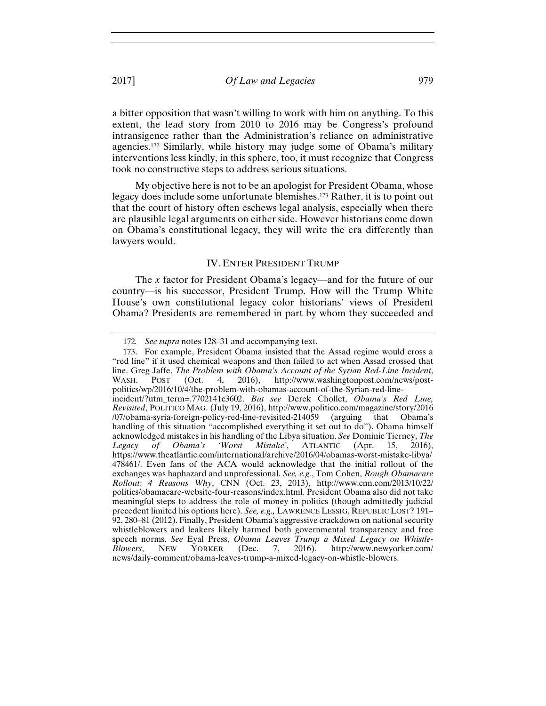a bitter opposition that wasn't willing to work with him on anything. To this extent, the lead story from 2010 to 2016 may be Congress's profound intransigence rather than the Administration's reliance on administrative agencies.172 Similarly, while history may judge some of Obama's military interventions less kindly, in this sphere, too, it must recognize that Congress took no constructive steps to address serious situations.

My objective here is not to be an apologist for President Obama, whose legacy does include some unfortunate blemishes.173 Rather, it is to point out that the court of history often eschews legal analysis, especially when there are plausible legal arguments on either side. However historians come down on Obama's constitutional legacy, they will write the era differently than lawyers would.

#### IV. ENTER PRESIDENT TRUMP

The *x* factor for President Obama's legacy—and for the future of our country—is his successor, President Trump. How will the Trump White House's own constitutional legacy color historians' views of President Obama? Presidents are remembered in part by whom they succeeded and

<sup>172</sup>*. See supra* notes 128–31 and accompanying text.

<sup>173.</sup> For example, President Obama insisted that the Assad regime would cross a "red line" if it used chemical weapons and then failed to act when Assad crossed that line. Greg Jaffe, *The Problem with Obama's Account of the Syrian Red-Line Incident*, WASH. POST (Oct. 4, 2016), http://www.washingtonpost.com/news/postpolitics/wp/2016/10/4/the-problem-with-obamas-account-of-the-Syrian-red-lineincident/?utm\_term=.7702141c3602. *But see* Derek Chollet, *Obama's Red Line, Revisited*, POLITICO MAG. (July 19, 2016), http://www.politico.com/magazine/story/2016 /07/obama-syria-foreign-policy-red-line-revisited-214059 (arguing that Obama's handling of this situation "accomplished everything it set out to do"). Obama himself acknowledged mistakes in his handling of the Libya situation. *See* Dominic Tierney, *The Legacy of Obama's 'Worst Mistake'*, ATLANTIC (Apr. 15, 2016), https://www.theatlantic.com/international/archive/2016/04/obamas-worst-mistake-libya/ 478461/. Even fans of the ACA would acknowledge that the initial rollout of the exchanges was haphazard and unprofessional. *See, e.g.*, Tom Cohen, *Rough Obamacare Rollout: 4 Reasons Why*, CNN (Oct. 23, 2013), http://www.cnn.com/2013/10/22/ politics/obamacare-website-four-reasons/index.html. President Obama also did not take meaningful steps to address the role of money in politics (though admittedly judicial precedent limited his options here). *See, e.g.,* LAWRENCE LESSIG, REPUBLIC LOST? 191– 92, 280–81 (2012). Finally, President Obama's aggressive crackdown on national security whistleblowers and leakers likely harmed both governmental transparency and free speech norms. *See* Eyal Press, *Obama Leaves Trump a Mixed Legacy on Whistle-Blowers*, NEW YORKER (Dec. 7, 2016), http://www.newyorker.com/ news/daily-comment/obama-leaves-trump-a-mixed-legacy-on-whistle-blowers.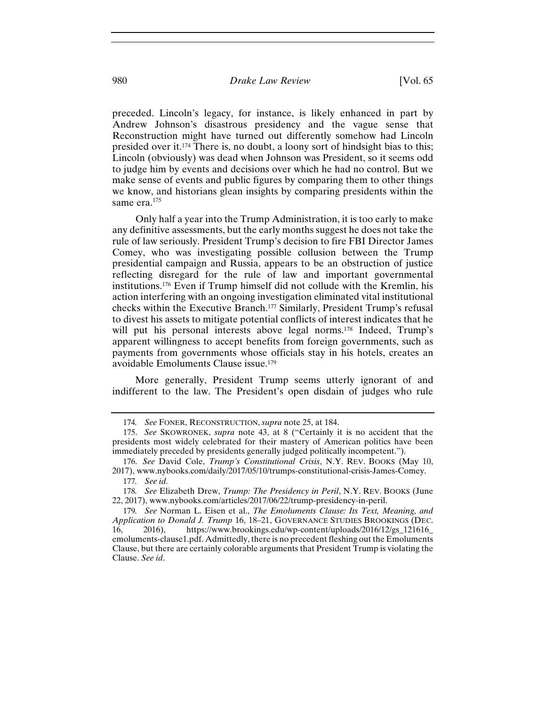preceded. Lincoln's legacy, for instance, is likely enhanced in part by Andrew Johnson's disastrous presidency and the vague sense that Reconstruction might have turned out differently somehow had Lincoln presided over it.174 There is, no doubt, a loony sort of hindsight bias to this; Lincoln (obviously) was dead when Johnson was President, so it seems odd to judge him by events and decisions over which he had no control. But we make sense of events and public figures by comparing them to other things we know, and historians glean insights by comparing presidents within the same era.<sup>175</sup>

 Only half a year into the Trump Administration, it is too early to make any definitive assessments, but the early months suggest he does not take the rule of law seriously. President Trump's decision to fire FBI Director James Comey, who was investigating possible collusion between the Trump presidential campaign and Russia, appears to be an obstruction of justice reflecting disregard for the rule of law and important governmental institutions.176 Even if Trump himself did not collude with the Kremlin, his action interfering with an ongoing investigation eliminated vital institutional checks within the Executive Branch.177 Similarly, President Trump's refusal to divest his assets to mitigate potential conflicts of interest indicates that he will put his personal interests above legal norms.<sup>178</sup> Indeed, Trump's apparent willingness to accept benefits from foreign governments, such as payments from governments whose officials stay in his hotels, creates an avoidable Emoluments Clause issue.179

More generally, President Trump seems utterly ignorant of and indifferent to the law. The President's open disdain of judges who rule

<sup>174</sup>*. See* FONER, RECONSTRUCTION, *supra* note 25, at 184.

<sup>175.</sup> *See* SKOWRONEK, *supra* note 43, at 8 ("Certainly it is no accident that the presidents most widely celebrated for their mastery of American politics have been immediately preceded by presidents generally judged politically incompetent.").

<sup>176.</sup> *See* David Cole, *Trump's Constitutional Crisis*, N.Y. REV. BOOKS (May 10, 2017), www.nybooks.com/daily/2017/05/10/trumps-constitutional-crisis-James-Comey. 177*. See id.*

<sup>178</sup>*. See* Elizabeth Drew, *Trump: The Presidency in Peril*, N.Y. REV. BOOKS (June 22, 2017), www.nybooks.com/articles/2017/06/22/trump-presidency-in-peril.

<sup>179</sup>*. See* Norman L. Eisen et al., *The Emoluments Clause: Its Text, Meaning, and Application to Donald J. Trump* 16, 18–21, GOVERNANCE STUDIES BROOKINGS (DEC. 16, 2016), https://www.brookings.edu/wp-content/uploads/2016/12/gs\_121616\_ emoluments-clause1.pdf. Admittedly, there is no precedent fleshing out the Emoluments Clause, but there are certainly colorable arguments that President Trump is violating the Clause. *See id*.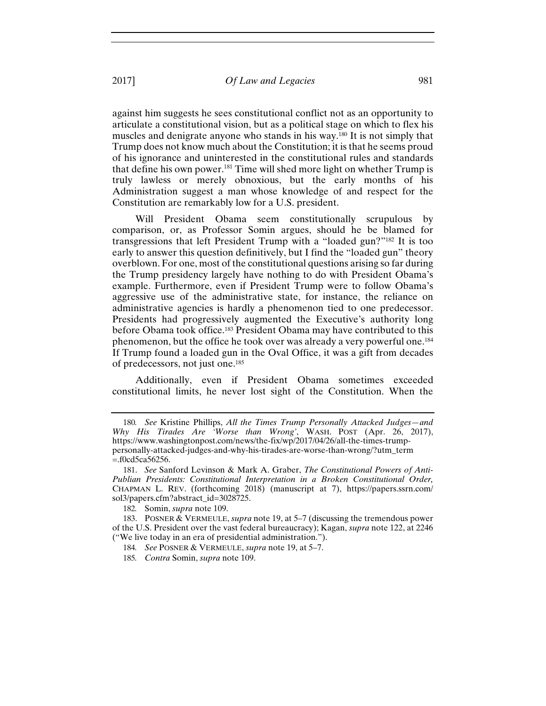against him suggests he sees constitutional conflict not as an opportunity to articulate a constitutional vision, but as a political stage on which to flex his muscles and denigrate anyone who stands in his way.180 It is not simply that Trump does not know much about the Constitution; it is that he seems proud of his ignorance and uninterested in the constitutional rules and standards that define his own power.<sup>181</sup> Time will shed more light on whether Trump is truly lawless or merely obnoxious, but the early months of his Administration suggest a man whose knowledge of and respect for the Constitution are remarkably low for a U.S. president.

Will President Obama seem constitutionally scrupulous by comparison, or, as Professor Somin argues, should he be blamed for transgressions that left President Trump with a "loaded gun?"182 It is too early to answer this question definitively, but I find the "loaded gun" theory overblown. For one, most of the constitutional questions arising so far during the Trump presidency largely have nothing to do with President Obama's example. Furthermore, even if President Trump were to follow Obama's aggressive use of the administrative state, for instance, the reliance on administrative agencies is hardly a phenomenon tied to one predecessor. Presidents had progressively augmented the Executive's authority long before Obama took office.183 President Obama may have contributed to this phenomenon, but the office he took over was already a very powerful one.184 If Trump found a loaded gun in the Oval Office, it was a gift from decades of predecessors, not just one.185

Additionally, even if President Obama sometimes exceeded constitutional limits, he never lost sight of the Constitution. When the

<sup>180</sup>*. See* Kristine Phillips, *All the Times Trump Personally Attacked Judges—and Why His Tirades Are 'Worse than Wrong'*, WASH. POST (Apr. 26, 2017), https://www.washingtonpost.com/news/the-fix/wp/2017/04/26/all-the-times-trumppersonally-attacked-judges-and-why-his-tirades-are-worse-than-wrong/?utm\_term =.f0cd5ca56256.

<sup>181.</sup> *See* Sanford Levinson & Mark A. Graber, *The Constitutional Powers of Anti-Publian Presidents: Constitutional Interpretation in a Broken Constitutional Order,*  CHAPMAN L. REV. (forthcoming 2018) (manuscript at 7), https://papers.ssrn.com/ sol3/papers.cfm?abstract\_id=3028725.

<sup>182</sup>*.* Somin, *supra* note 109.

<sup>183.</sup> POSNER & VERMEULE, *supra* note 19, at 5–7 (discussing the tremendous power of the U.S. President over the vast federal bureaucracy); Kagan, *supra* note 122, at 2246 ("We live today in an era of presidential administration.").

<sup>184</sup>*. See* POSNER & VERMEULE, *supra* note 19, at 5–7.

<sup>185</sup>*. Contra* Somin, *supra* note 109.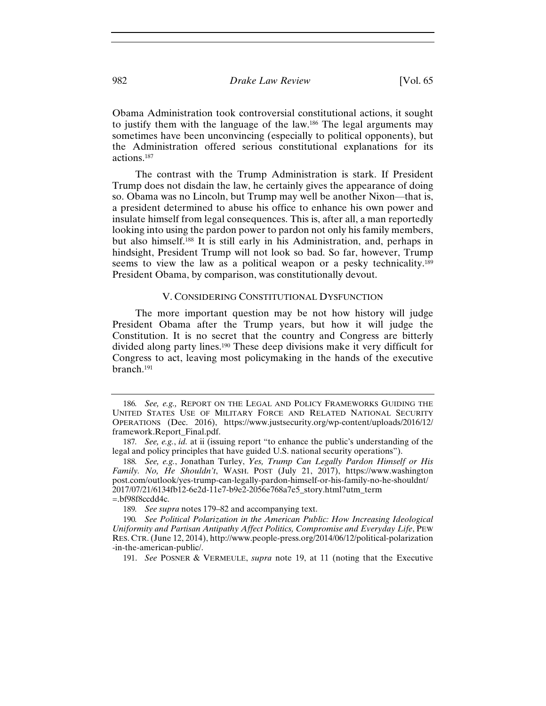Obama Administration took controversial constitutional actions, it sought to justify them with the language of the law.186 The legal arguments may sometimes have been unconvincing (especially to political opponents), but the Administration offered serious constitutional explanations for its actions.187

The contrast with the Trump Administration is stark. If President Trump does not disdain the law, he certainly gives the appearance of doing so. Obama was no Lincoln, but Trump may well be another Nixon—that is, a president determined to abuse his office to enhance his own power and insulate himself from legal consequences. This is, after all, a man reportedly looking into using the pardon power to pardon not only his family members, but also himself.188 It is still early in his Administration, and, perhaps in hindsight, President Trump will not look so bad. So far, however, Trump seems to view the law as a political weapon or a pesky technicality.<sup>189</sup> President Obama, by comparison, was constitutionally devout.

#### V. CONSIDERING CONSTITUTIONAL DYSFUNCTION

The more important question may be not how history will judge President Obama after the Trump years, but how it will judge the Constitution. It is no secret that the country and Congress are bitterly divided along party lines.190 These deep divisions make it very difficult for Congress to act, leaving most policymaking in the hands of the executive branch.191

<sup>186</sup>*. See, e.g.,* REPORT ON THE LEGAL AND POLICY FRAMEWORKS GUIDING THE UNITED STATES USE OF MILITARY FORCE AND RELATED NATIONAL SECURITY OPERATIONS (Dec. 2016), https://www.justsecurity.org/wp-content/uploads/2016/12/ framework.Report\_Final.pdf.

<sup>187</sup>*. See, e.g.*, *id.* at ii (issuing report "to enhance the public's understanding of the legal and policy principles that have guided U.S. national security operations").

<sup>188</sup>*. See, e.g.*, Jonathan Turley, *Yes, Trump Can Legally Pardon Himself or His Family. No, He Shouldn't*, WASH. POST (July 21, 2017), https://www.washington post.com/outlook/yes-trump-can-legally-pardon-himself-or-his-family-no-he-shouldnt/ 2017/07/21/6134fb12-6e2d-11e7-b9e2-2056e768a7e5\_story.html?utm\_term =.bf98f8ccdd4c.

<sup>189</sup>*. See supra* notes 179–82 and accompanying text.

<sup>190</sup>*. See Political Polarization in the American Public: How Increasing Ideological Uniformity and Partisan Antipathy Affect Politics, Compromise and Everyday Life*, PEW RES. CTR.(June 12, 2014), http://www.people-press.org/2014/06/12/political-polarization -in-the-american-public/.

<sup>191.</sup> *See* POSNER & VERMEULE, *supra* note 19, at 11 (noting that the Executive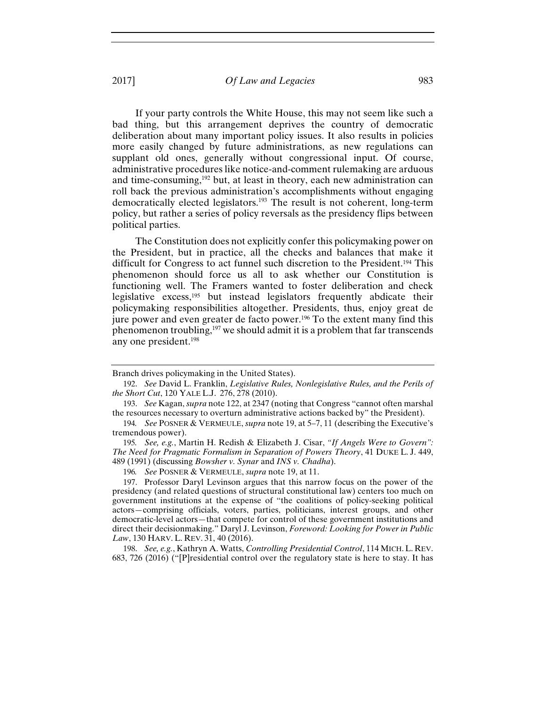If your party controls the White House, this may not seem like such a bad thing, but this arrangement deprives the country of democratic deliberation about many important policy issues. It also results in policies more easily changed by future administrations, as new regulations can supplant old ones, generally without congressional input. Of course, administrative procedures like notice-and-comment rulemaking are arduous and time-consuming, $192$  but, at least in theory, each new administration can roll back the previous administration's accomplishments without engaging democratically elected legislators.<sup>193</sup> The result is not coherent, long-term policy, but rather a series of policy reversals as the presidency flips between political parties.

The Constitution does not explicitly confer this policymaking power on the President, but in practice, all the checks and balances that make it difficult for Congress to act funnel such discretion to the President.194 This phenomenon should force us all to ask whether our Constitution is functioning well. The Framers wanted to foster deliberation and check legislative excess,195 but instead legislators frequently abdicate their policymaking responsibilities altogether. Presidents, thus, enjoy great de jure power and even greater de facto power.<sup>196</sup> To the extent many find this phenomenon troubling,<sup>197</sup> we should admit it is a problem that far transcends any one president.198

Branch drives policymaking in the United States).

<sup>192.</sup> *See* David L. Franklin, *Legislative Rules, Nonlegislative Rules, and the Perils of the Short Cut*, 120 YALE L.J. 276, 278 (2010).

<sup>193.</sup> *See* Kagan, *supra* note 122, at 2347 (noting that Congress "cannot often marshal the resources necessary to overturn administrative actions backed by" the President).

<sup>194</sup>*. See* POSNER & VERMEULE, *supra* note 19, at 5–7, 11 (describing the Executive's tremendous power).

<sup>195</sup>*. See, e.g.*, Martin H. Redish & Elizabeth J. Cisar, *"If Angels Were to Govern": The Need for Pragmatic Formalism in Separation of Powers Theory*, 41 DUKE L. J. 449, 489 (1991) (discussing *Bowsher v. Synar* and *INS v. Chadha*).

<sup>196</sup>*. See* POSNER & VERMEULE, *supra* note 19, at 11.

<sup>197.</sup> Professor Daryl Levinson argues that this narrow focus on the power of the presidency (and related questions of structural constitutional law) centers too much on government institutions at the expense of "the coalitions of policy-seeking political actors—comprising officials, voters, parties, politicians, interest groups, and other democratic-level actors—that compete for control of these government institutions and direct their decisionmaking." Daryl J. Levinson, *Foreword: Looking for Power in Public Law*, 130 HARV. L. REV. 31, 40 (2016).

<sup>198.</sup> *See, e.g.*, Kathryn A. Watts, *Controlling Presidential Control*, 114 MICH. L. REV. 683, 726 (2016) ("[P]residential control over the regulatory state is here to stay. It has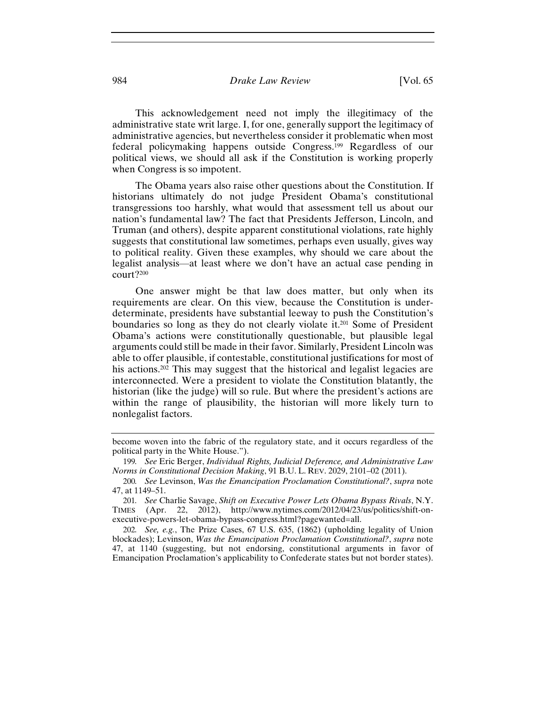# 984 *Drake Law Review* [Vol. 65

This acknowledgement need not imply the illegitimacy of the administrative state writ large. I, for one, generally support the legitimacy of administrative agencies, but nevertheless consider it problematic when most federal policymaking happens outside Congress.199 Regardless of our political views, we should all ask if the Constitution is working properly when Congress is so impotent.

The Obama years also raise other questions about the Constitution. If historians ultimately do not judge President Obama's constitutional transgressions too harshly, what would that assessment tell us about our nation's fundamental law? The fact that Presidents Jefferson, Lincoln, and Truman (and others), despite apparent constitutional violations, rate highly suggests that constitutional law sometimes, perhaps even usually, gives way to political reality. Given these examples, why should we care about the legalist analysis—at least where we don't have an actual case pending in court?200

One answer might be that law does matter, but only when its requirements are clear. On this view, because the Constitution is underdeterminate, presidents have substantial leeway to push the Constitution's boundaries so long as they do not clearly violate it.201 Some of President Obama's actions were constitutionally questionable, but plausible legal arguments could still be made in their favor. Similarly, President Lincoln was able to offer plausible, if contestable, constitutional justifications for most of his actions.<sup>202</sup> This may suggest that the historical and legalist legacies are interconnected. Were a president to violate the Constitution blatantly, the historian (like the judge) will so rule. But where the president's actions are within the range of plausibility, the historian will more likely turn to nonlegalist factors.

become woven into the fabric of the regulatory state, and it occurs regardless of the political party in the White House.").

<sup>199</sup>*. See* Eric Berger, *Individual Rights, Judicial Deference, and Administrative Law Norms in Constitutional Decision Making*, 91 B.U. L. REV. 2029, 2101–02 (2011).

<sup>200</sup>*. See* Levinson, *Was the Emancipation Proclamation Constitutional?*, *supra* note 47, at 1149–51.

<sup>201</sup>*. See* Charlie Savage, *Shift on Executive Power Lets Obama Bypass Rivals*, N.Y. TIMES (Apr. 22, 2012), http://www.nytimes.com/2012/04/23/us/politics/shift-onexecutive-powers-let-obama-bypass-congress.html?pagewanted=all.

<sup>202</sup>*. See, e.g.*, The Prize Cases, 67 U.S. 635, (1862) (upholding legality of Union blockades); Levinson, *Was the Emancipation Proclamation Constitutional?*, *supra* note 47, at 1140 (suggesting, but not endorsing, constitutional arguments in favor of Emancipation Proclamation's applicability to Confederate states but not border states).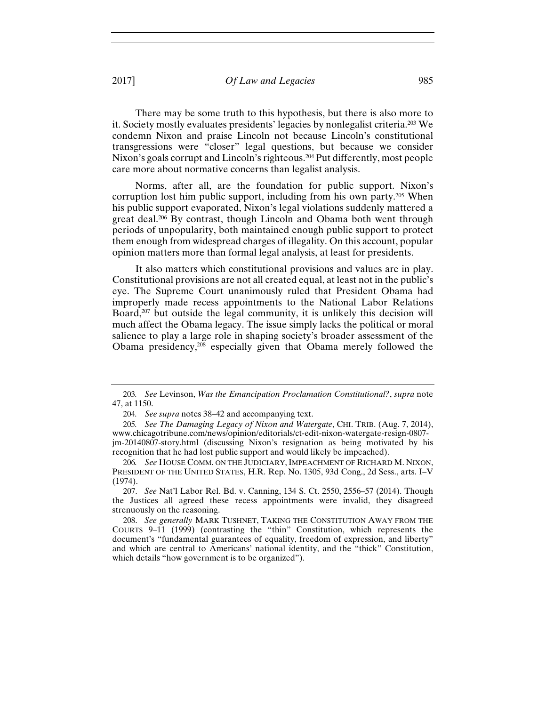There may be some truth to this hypothesis, but there is also more to it. Society mostly evaluates presidents' legacies by nonlegalist criteria.203 We condemn Nixon and praise Lincoln not because Lincoln's constitutional transgressions were "closer" legal questions, but because we consider Nixon's goals corrupt and Lincoln's righteous.204 Put differently, most people care more about normative concerns than legalist analysis.

Norms, after all, are the foundation for public support. Nixon's corruption lost him public support, including from his own party.205 When his public support evaporated, Nixon's legal violations suddenly mattered a great deal.<sup>206</sup> By contrast, though Lincoln and Obama both went through periods of unpopularity, both maintained enough public support to protect them enough from widespread charges of illegality. On this account, popular opinion matters more than formal legal analysis, at least for presidents.

It also matters which constitutional provisions and values are in play. Constitutional provisions are not all created equal, at least not in the public's eye. The Supreme Court unanimously ruled that President Obama had improperly made recess appointments to the National Labor Relations Board, $207$  but outside the legal community, it is unlikely this decision will much affect the Obama legacy. The issue simply lacks the political or moral salience to play a large role in shaping society's broader assessment of the Obama presidency,208 especially given that Obama merely followed the

207. *See* Nat'l Labor Rel. Bd. v. Canning, 134 S. Ct. 2550, 2556–57 (2014). Though the Justices all agreed these recess appointments were invalid, they disagreed strenuously on the reasoning.

208. *See generally* MARK TUSHNET, TAKING THE CONSTITUTION AWAY FROM THE COURTS 9–11 (1999) (contrasting the "thin" Constitution, which represents the document's "fundamental guarantees of equality, freedom of expression, and liberty" and which are central to Americans' national identity, and the "thick" Constitution, which details "how government is to be organized").

<sup>203</sup>*. See* Levinson, *Was the Emancipation Proclamation Constitutional?*, *supra* note 47, at 1150.

<sup>204</sup>*. See supra* notes 38–42 and accompanying text.

<sup>205</sup>*. See The Damaging Legacy of Nixon and Watergate*, CHI. TRIB. (Aug. 7, 2014), www.chicagotribune.com/news/opinion/editorials/ct-edit-nixon-watergate-resign-0807 jm-20140807-story.html (discussing Nixon's resignation as being motivated by his recognition that he had lost public support and would likely be impeached).

<sup>206</sup>*. See* HOUSE COMM. ON THE JUDICIARY,IMPEACHMENT OF RICHARD M. NIXON, PRESIDENT OF THE UNITED STATES, H.R. Rep. No. 1305, 93d Cong., 2d Sess., arts. I–V (1974).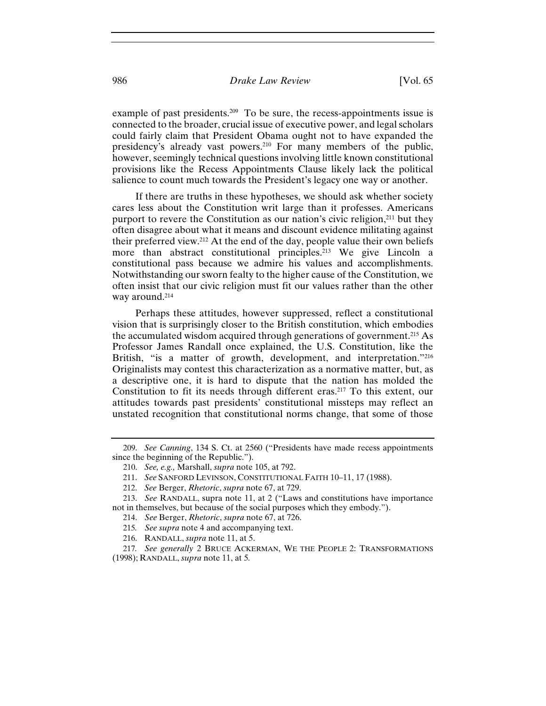# 986 *Drake Law Review* [Vol. 65

example of past presidents.<sup>209</sup> To be sure, the recess-appointments issue is connected to the broader, crucial issue of executive power, and legal scholars could fairly claim that President Obama ought not to have expanded the presidency's already vast powers.<sup>210</sup> For many members of the public, however, seemingly technical questions involving little known constitutional provisions like the Recess Appointments Clause likely lack the political salience to count much towards the President's legacy one way or another.

If there are truths in these hypotheses, we should ask whether society cares less about the Constitution writ large than it professes. Americans purport to revere the Constitution as our nation's civic religion,<sup>211</sup> but they often disagree about what it means and discount evidence militating against their preferred view.212 At the end of the day, people value their own beliefs more than abstract constitutional principles.213 We give Lincoln a constitutional pass because we admire his values and accomplishments. Notwithstanding our sworn fealty to the higher cause of the Constitution, we often insist that our civic religion must fit our values rather than the other way around.214

Perhaps these attitudes, however suppressed, reflect a constitutional vision that is surprisingly closer to the British constitution, which embodies the accumulated wisdom acquired through generations of government.215 As Professor James Randall once explained, the U.S. Constitution, like the British, "is a matter of growth, development, and interpretation."216 Originalists may contest this characterization as a normative matter, but, as a descriptive one, it is hard to dispute that the nation has molded the Constitution to fit its needs through different eras.217 To this extent, our attitudes towards past presidents' constitutional missteps may reflect an unstated recognition that constitutional norms change, that some of those

<sup>209.</sup> *See Canning*, 134 S. Ct. at 2560 ("Presidents have made recess appointments since the beginning of the Republic.").

<sup>210.</sup> *See, e.g.,* Marshall, *supra* note 105, at 792.

<sup>211.</sup> *See* SANFORD LEVINSON, CONSTITUTIONAL FAITH 10–11, 17 (1988).

<sup>212.</sup> *See* Berger, *Rhetoric*, *supra* note 67, at 729.

<sup>213.</sup> *See* RANDALL, supra note 11, at 2 ("Laws and constitutions have importance not in themselves, but because of the social purposes which they embody.").

<sup>214.</sup> *See* Berger, *Rhetoric*, *supra* note 67, at 726.

<sup>215</sup>*. See supra* note 4 and accompanying text.

<sup>216.</sup> RANDALL, *supra* note 11, at 5.

<sup>217</sup>*. See generally* 2 BRUCE ACKERMAN, WE THE PEOPLE 2: TRANSFORMATIONS (1998); RANDALL, *supra* note 11, at 5*.*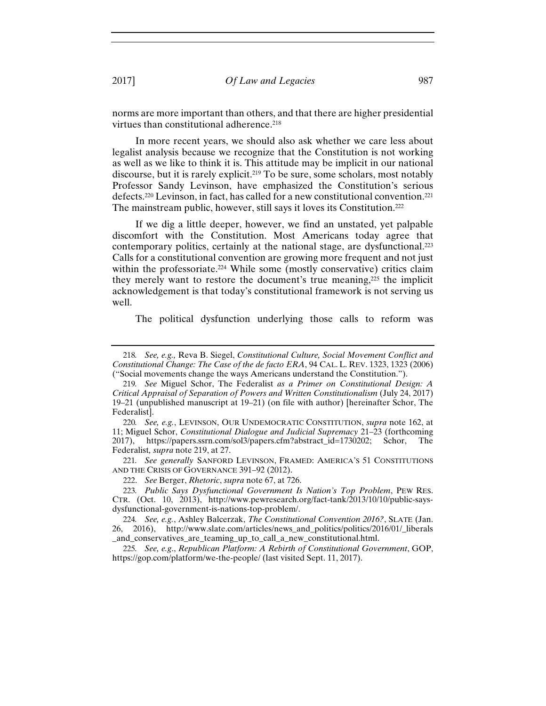norms are more important than others, and that there are higher presidential virtues than constitutional adherence.<sup>218</sup>

In more recent years, we should also ask whether we care less about legalist analysis because we recognize that the Constitution is not working as well as we like to think it is. This attitude may be implicit in our national discourse, but it is rarely explicit.<sup>219</sup> To be sure, some scholars, most notably Professor Sandy Levinson, have emphasized the Constitution's serious defects.220 Levinson, in fact, has called for a new constitutional convention.221 The mainstream public, however, still says it loves its Constitution.222

If we dig a little deeper, however, we find an unstated, yet palpable discomfort with the Constitution. Most Americans today agree that contemporary politics, certainly at the national stage, are dysfunctional.223 Calls for a constitutional convention are growing more frequent and not just within the professoriate.<sup>224</sup> While some (mostly conservative) critics claim they merely want to restore the document's true meaning,225 the implicit acknowledgement is that today's constitutional framework is not serving us well.

The political dysfunction underlying those calls to reform was

221*. See generally* SANFORD LEVINSON, FRAMED: AMERICA'S 51 CONSTITUTIONS AND THE CRISIS OF GOVERNANCE 391–92 (2012).

222. *See* Berger, *Rhetoric*, *supra* note 67, at 726.

<sup>218</sup>*. See, e.g.,* Reva B. Siegel, *Constitutional Culture, Social Movement Conflict and Constitutional Change: The Case of the de facto ERA*, 94 CAL. L. REV. 1323, 1323 (2006) ("Social movements change the ways Americans understand the Constitution.").

<sup>219</sup>*. See* Miguel Schor, The Federalist *as a Primer on Constitutional Design: A Critical Appraisal of Separation of Powers and Written Constitutionalism* (July 24, 2017) 19–21 (unpublished manuscript at 19–21) (on file with author) [hereinafter Schor, The Federalist].

<sup>220</sup>*. See, e.g.*, LEVINSON, OUR UNDEMOCRATIC CONSTITUTION, *supra* note 162, at 11; Miguel Schor, *Constitutional Dialogue and Judicial Supremacy* 21–23 (forthcoming 2017), https://papers.ssrn.com/sol3/papers.cfm?abstract\_id=1730202; Schor, The Federalist*, supra* note 219, at 27.

<sup>223</sup>*. Public Says Dysfunctional Government Is Nation's Top Problem*, PEW RES. CTR. (Oct. 10, 2013), http://www.pewresearch.org/fact-tank/2013/10/10/public-saysdysfunctional-government-is-nations-top-problem/.

<sup>224</sup>*. See, e.g.*, Ashley Balcerzak, *The Constitutional Convention 2016?*, SLATE (Jan. 26, 2016), http://www.slate.com/articles/news\_and\_politics/politics/2016/01/\_liberals \_and\_conservatives\_are\_teaming\_up\_to\_call\_a\_new\_constitutional.html.

<sup>225</sup>*. See, e.g*., *Republican Platform: A Rebirth of Constitutional Government*, GOP, https://gop.com/platform/we-the-people/ (last visited Sept. 11, 2017).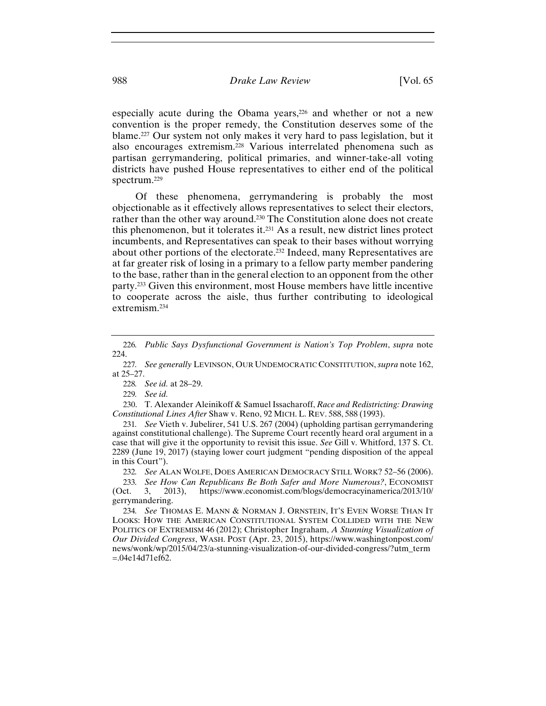especially acute during the Obama years,<sup>226</sup> and whether or not a new convention is the proper remedy, the Constitution deserves some of the blame.227 Our system not only makes it very hard to pass legislation, but it also encourages extremism.228 Various interrelated phenomena such as partisan gerrymandering, political primaries, and winner-take-all voting districts have pushed House representatives to either end of the political spectrum.229

Of these phenomena, gerrymandering is probably the most objectionable as it effectively allows representatives to select their electors, rather than the other way around.230 The Constitution alone does not create this phenomenon, but it tolerates it.231 As a result, new district lines protect incumbents, and Representatives can speak to their bases without worrying about other portions of the electorate.232 Indeed, many Representatives are at far greater risk of losing in a primary to a fellow party member pandering to the base, rather than in the general election to an opponent from the other party.233 Given this environment, most House members have little incentive to cooperate across the aisle, thus further contributing to ideological extremism.234

228*. See id.* at 28–29.

229*. See id.*

230. T. Alexander Aleinikoff & Samuel Issacharoff, *Race and Redistricting: Drawing Constitutional Lines After* Shaw v. Reno, 92 MICH. L. REV. 588, 588 (1993).

231*. See* Vieth v. Jubelirer, 541 U.S. 267 (2004) (upholding partisan gerrymandering against constitutional challenge). The Supreme Court recently heard oral argument in a case that will give it the opportunity to revisit this issue. *See* Gill v. Whitford, 137 S. Ct. 2289 (June 19, 2017) (staying lower court judgment "pending disposition of the appeal in this Court").

232*. See* ALAN WOLFE, DOES AMERICAN DEMOCRACY STILL WORK? 52–56 (2006).

233*. See How Can Republicans Be Both Safer and More Numerous?*, ECONOMIST (Oct. 3, 2013), https://www.economist.com/blogs/democracyinamerica/2013/10/ gerrymandering.

234*. See* THOMAS E. MANN & NORMAN J. ORNSTEIN, IT'S EVEN WORSE THAN IT LOOKS: HOW THE AMERICAN CONSTITUTIONAL SYSTEM COLLIDED WITH THE NEW POLITICS OF EXTREMISM 46 (2012); Christopher Ingraham, *A Stunning Visualization of Our Divided Congress*, WASH. POST (Apr. 23, 2015), https://www.washingtonpost.com/ news/wonk/wp/2015/04/23/a-stunning-visualization-of-our-divided-congress/?utm\_term =.04e14d71ef62.

<sup>226</sup>*. Public Says Dysfunctional Government is Nation's Top Problem*, *supra* note 224.

<sup>227</sup>*. See generally* LEVINSON, OUR UNDEMOCRATIC CONSTITUTION, *supra* note 162, at 25–27.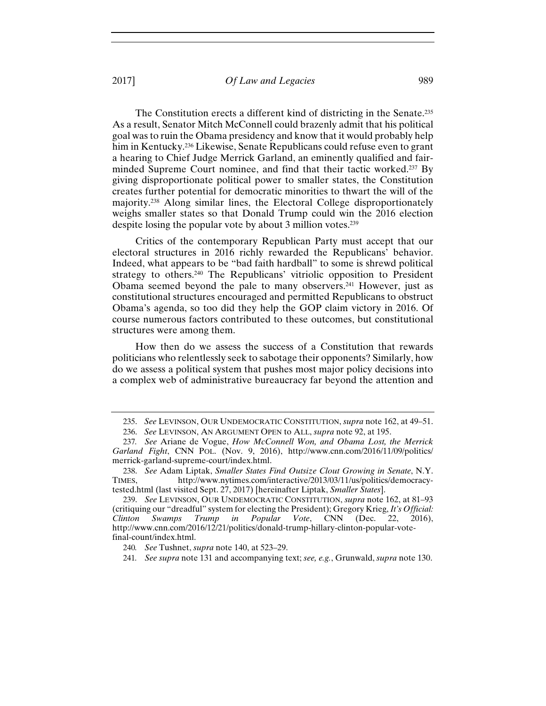The Constitution erects a different kind of districting in the Senate.235 As a result, Senator Mitch McConnell could brazenly admit that his political goal was to ruin the Obama presidency and know that it would probably help him in Kentucky.236 Likewise, Senate Republicans could refuse even to grant a hearing to Chief Judge Merrick Garland, an eminently qualified and fairminded Supreme Court nominee, and find that their tactic worked.237 By giving disproportionate political power to smaller states, the Constitution creates further potential for democratic minorities to thwart the will of the majority.238 Along similar lines, the Electoral College disproportionately weighs smaller states so that Donald Trump could win the 2016 election despite losing the popular vote by about 3 million votes.<sup>239</sup>

Critics of the contemporary Republican Party must accept that our electoral structures in 2016 richly rewarded the Republicans' behavior. Indeed, what appears to be "bad faith hardball" to some is shrewd political strategy to others.240 The Republicans' vitriolic opposition to President Obama seemed beyond the pale to many observers.241 However, just as constitutional structures encouraged and permitted Republicans to obstruct Obama's agenda, so too did they help the GOP claim victory in 2016. Of course numerous factors contributed to these outcomes, but constitutional structures were among them.

How then do we assess the success of a Constitution that rewards politicians who relentlessly seek to sabotage their opponents? Similarly, how do we assess a political system that pushes most major policy decisions into a complex web of administrative bureaucracy far beyond the attention and

<sup>235.</sup> *See* LEVINSON, OUR UNDEMOCRATIC CONSTITUTION, *supra* note 162, at 49–51.

<sup>236.</sup> *See* LEVINSON, AN ARGUMENT OPEN to ALL, *supra* note 92, at 195.

<sup>237</sup>*. See* Ariane de Vogue, *How McConnell Won, and Obama Lost, the Merrick Garland Fight*, CNN POL. (Nov. 9, 2016), http://www.cnn.com/2016/11/09/politics/ merrick-garland-supreme-court/index.html.

<sup>238.</sup> *See* Adam Liptak, *Smaller States Find Outsize Clout Growing in Senate*, N.Y. TIMES, http://www.nytimes.com/interactive/2013/03/11/us/politics/democracytested.html (last visited Sept. 27, 2017) [hereinafter Liptak, *Smaller States*].

<sup>239.</sup> *See* LEVINSON, OUR UNDEMOCRATIC CONSTITUTION, *supra* note 162, at 81–93 (critiquing our "dreadful" system for electing the President); Gregory Krieg, *It's Official: Clinton Swamps Trump in Popular Vote*, CNN (Dec. 22, 2016), http://www.cnn.com/2016/12/21/politics/donald-trump-hillary-clinton-popular-votefinal-count/index.html.

<sup>240</sup>*. See* Tushnet, *supra* note 140, at 523–29.

<sup>241</sup>*. See supra* note 131 and accompanying text; *see, e.g.*, Grunwald, *supra* note 130.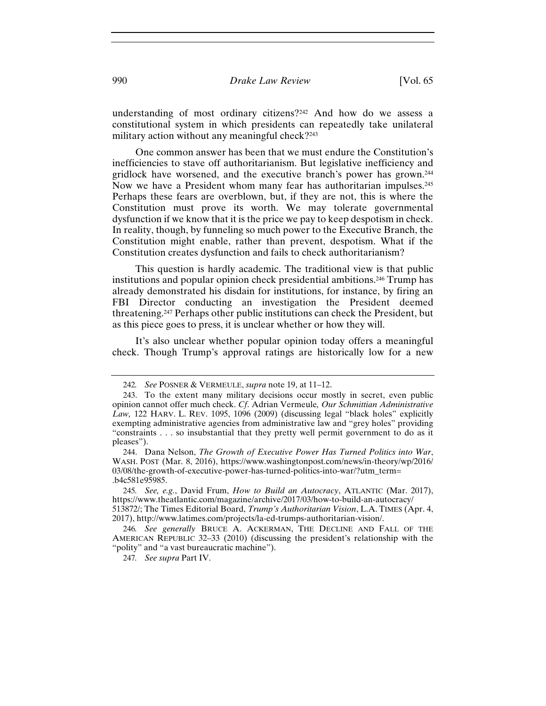understanding of most ordinary citizens?242 And how do we assess a constitutional system in which presidents can repeatedly take unilateral military action without any meaningful check?<sup>243</sup>

One common answer has been that we must endure the Constitution's inefficiencies to stave off authoritarianism. But legislative inefficiency and gridlock have worsened, and the executive branch's power has grown.244 Now we have a President whom many fear has authoritarian impulses.<sup>245</sup> Perhaps these fears are overblown, but, if they are not, this is where the Constitution must prove its worth. We may tolerate governmental dysfunction if we know that it is the price we pay to keep despotism in check. In reality, though, by funneling so much power to the Executive Branch, the Constitution might enable, rather than prevent, despotism. What if the Constitution creates dysfunction and fails to check authoritarianism?

This question is hardly academic. The traditional view is that public institutions and popular opinion check presidential ambitions.246 Trump has already demonstrated his disdain for institutions, for instance, by firing an FBI Director conducting an investigation the President deemed threatening.247 Perhaps other public institutions can check the President, but as this piece goes to press, it is unclear whether or how they will.

It's also unclear whether popular opinion today offers a meaningful check. Though Trump's approval ratings are historically low for a new

<sup>242</sup>*. See* POSNER & VERMEULE, *supra* note 19, at 11–12.

<sup>243.</sup> To the extent many military decisions occur mostly in secret, even public opinion cannot offer much check. *Cf*. Adrian Vermeule*, Our Schmittian Administrative Law,* 122 HARV. L. REV. 1095, 1096 (2009) (discussing legal "black holes" explicitly exempting administrative agencies from administrative law and "grey holes" providing "constraints . . . so insubstantial that they pretty well permit government to do as it pleases").

<sup>244.</sup> Dana Nelson, *The Growth of Executive Power Has Turned Politics into War*, WASH. POST (Mar. 8, 2016), https://www.washingtonpost.com/news/in-theory/wp/2016/ 03/08/the-growth-of-executive-power-has-turned-politics-into-war/?utm\_term= .b4c581e95985.

<sup>245</sup>*. See, e.g.*, David Frum, *How to Build an Autocracy*, ATLANTIC (Mar. 2017), https://www.theatlantic.com/magazine/archive/2017/03/how-to-build-an-autocracy/ 513872/; The Times Editorial Board, *Trump's Authoritarian Vision*, L.A. TIMES (Apr. 4, 2017), http://www.latimes.com/projects/la-ed-trumps-authoritarian-vision/.

<sup>246</sup>*. See generally* BRUCE A. ACKERMAN, THE DECLINE AND FALL OF THE AMERICAN REPUBLIC 32–33 (2010) (discussing the president's relationship with the "polity" and "a vast bureaucratic machine").

<sup>247</sup>*. See supra* Part IV.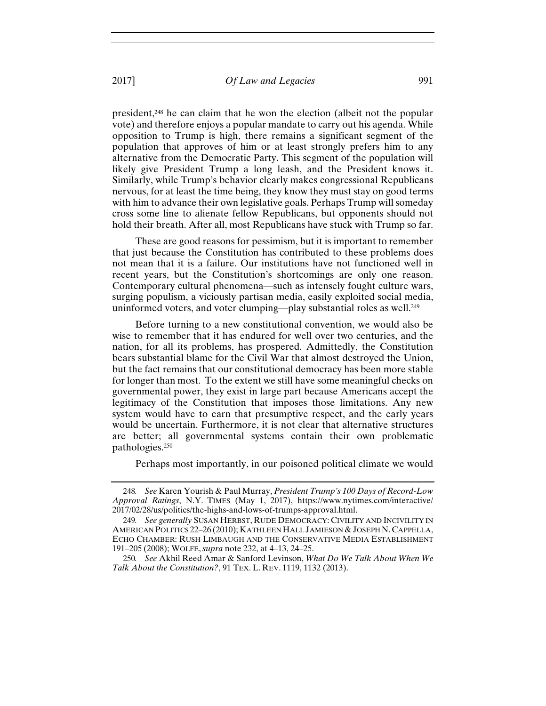president,248 he can claim that he won the election (albeit not the popular vote) and therefore enjoys a popular mandate to carry out his agenda. While opposition to Trump is high, there remains a significant segment of the population that approves of him or at least strongly prefers him to any alternative from the Democratic Party. This segment of the population will likely give President Trump a long leash, and the President knows it. Similarly, while Trump's behavior clearly makes congressional Republicans nervous, for at least the time being, they know they must stay on good terms with him to advance their own legislative goals. Perhaps Trump will someday cross some line to alienate fellow Republicans, but opponents should not hold their breath. After all, most Republicans have stuck with Trump so far.

These are good reasons for pessimism, but it is important to remember that just because the Constitution has contributed to these problems does not mean that it is a failure. Our institutions have not functioned well in recent years, but the Constitution's shortcomings are only one reason. Contemporary cultural phenomena—such as intensely fought culture wars, surging populism, a viciously partisan media, easily exploited social media, uninformed voters, and voter clumping—play substantial roles as well.<sup>249</sup>

Before turning to a new constitutional convention, we would also be wise to remember that it has endured for well over two centuries, and the nation, for all its problems, has prospered. Admittedly, the Constitution bears substantial blame for the Civil War that almost destroyed the Union, but the fact remains that our constitutional democracy has been more stable for longer than most. To the extent we still have some meaningful checks on governmental power, they exist in large part because Americans accept the legitimacy of the Constitution that imposes those limitations. Any new system would have to earn that presumptive respect, and the early years would be uncertain. Furthermore, it is not clear that alternative structures are better; all governmental systems contain their own problematic pathologies.250

Perhaps most importantly, in our poisoned political climate we would

<sup>248</sup>*. See* Karen Yourish & Paul Murray, *President Trump's 100 Days of Record-Low Approval Ratings*, N.Y. TIMES (May 1, 2017), https://www.nytimes.com/interactive/ 2017/02/28/us/politics/the-highs-and-lows-of-trumps-approval.html.

<sup>249</sup>*. See generally* SUSAN HERBST, RUDE DEMOCRACY: CIVILITY AND INCIVILITY IN AMERICAN POLITICS 22–26 (2010); KATHLEEN HALL JAMIESON & JOSEPH N. CAPPELLA, ECHO CHAMBER: RUSH LIMBAUGH AND THE CONSERVATIVE MEDIA ESTABLISHMENT 191–205 (2008); WOLFE, *supra* note 232, at 4–13, 24–25.

<sup>250</sup>*. See* Akhil Reed Amar & Sanford Levinson, *What Do We Talk About When We Talk About the Constitution?*, 91 TEX. L. REV. 1119, 1132 (2013).